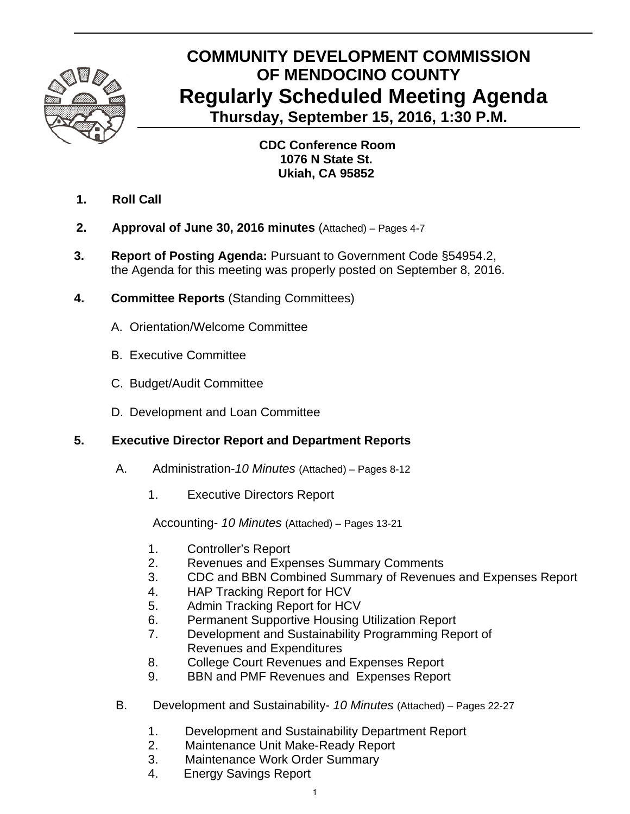

### **COMMUNITY DEVELOPMENT COMMISSION OF MENDOCINO COUNTY Regularly Scheduled Meeting Agenda Thursday, September 15, 2016, 1:30 P.M.**

 **CDC Conference Room 1076 N State St. Ukiah, CA 95852** 

- **1. Roll Call**
- **2. Approval of June 30, 2016 minutes** (Attached) Pages 4-7
- **3. Report of Posting Agenda:** Pursuant to Government Code §54954.2, the Agenda for this meeting was properly posted on September 8, 2016.
- **4. Committee Reports** (Standing Committees)
	- A.Orientation/Welcome Committee
	- B. Executive Committee
	- C. Budget/Audit Committee
	- D. Development and Loan Committee

### **5. Executive Director Report and Department Reports**

- A. Administration-*10 Minutes* (Attached) Pages 8-12
	- 1. Executive Directors Report

Accounting- *10 Minutes* (Attached) – Pages 13-21

- 1. Controller's Report
- 2. Revenues and Expenses Summary Comments
- 3. CDC and BBN Combined Summary of Revenues and Expenses Report
- 4. HAP Tracking Report for HCV
- 5. Admin Tracking Report for HCV
- 6. Permanent Supportive Housing Utilization Report
- 7. Development and Sustainability Programming Report of Revenues and Expenditures
- 8. College Court Revenues and Expenses Report
- 9. BBN and PMF Revenues and Expenses Report
- B. Development and Sustainability- *10 Minutes* (Attached) Pages 22-27
	- 1. Development and Sustainability Department Report
	- 2. Maintenance Unit Make-Ready Report
	- 3. Maintenance Work Order Summary
	- 4. Energy Savings Report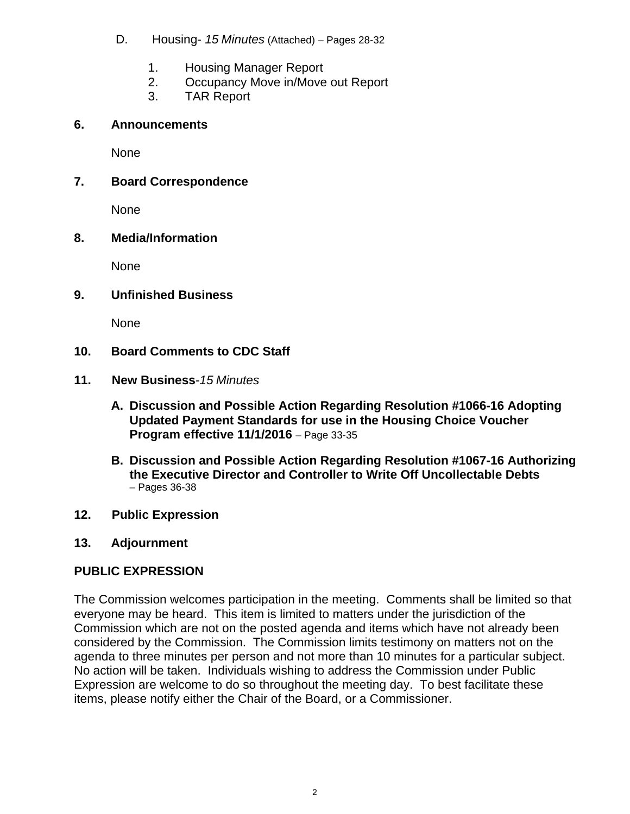- D. Housing- *15 Minutes* (Attached) *–* Pages 28-32
	- 1. Housing Manager Report
	- 2. Occupancy Move in/Move out Report
	- 3. TAR Report

### **6. Announcements**

None

### **7. Board Correspondence**

None

### **8. Media/Information**

None

### **9. Unfinished Business**

None

### **10. Board Comments to CDC Staff**

### **11. New Business***-15 Minutes*

- **A. Discussion and Possible Action Regarding Resolution #1066-16 Adopting Updated Payment Standards for use in the Housing Choice Voucher Program effective 11/1/2016** – Page 33-35
- **B. Discussion and Possible Action Regarding Resolution #1067-16 Authorizing the Executive Director and Controller to Write Off Uncollectable Debts**  – Pages 36-38
- **12. Public Expression**

### **13. Adjournment**

### **PUBLIC EXPRESSION**

The Commission welcomes participation in the meeting. Comments shall be limited so that everyone may be heard. This item is limited to matters under the jurisdiction of the Commission which are not on the posted agenda and items which have not already been considered by the Commission. The Commission limits testimony on matters not on the agenda to three minutes per person and not more than 10 minutes for a particular subject. No action will be taken. Individuals wishing to address the Commission under Public Expression are welcome to do so throughout the meeting day. To best facilitate these items, please notify either the Chair of the Board, or a Commissioner.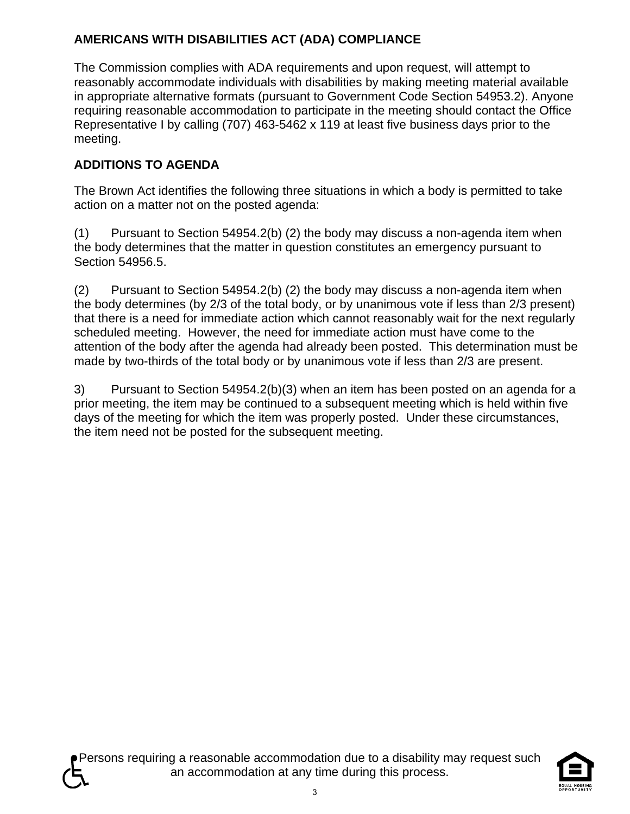### **AMERICANS WITH DISABILITIES ACT (ADA) COMPLIANCE**

The Commission complies with ADA requirements and upon request, will attempt to reasonably accommodate individuals with disabilities by making meeting material available in appropriate alternative formats (pursuant to Government Code Section 54953.2). Anyone requiring reasonable accommodation to participate in the meeting should contact the Office Representative I by calling (707) 463-5462 x 119 at least five business days prior to the meeting.

### **ADDITIONS TO AGENDA**

The Brown Act identifies the following three situations in which a body is permitted to take action on a matter not on the posted agenda:

(1) Pursuant to Section 54954.2(b) (2) the body may discuss a non-agenda item when the body determines that the matter in question constitutes an emergency pursuant to Section 54956.5.

 $(2)$  Pursuant to Section 54954.2(b) (2) the body may discuss a non-agenda item when the body determines (by 2/3 of the total body, or by unanimous vote if less than 2/3 present) that there is a need for immediate action which cannot reasonably wait for the next regularly scheduled meeting. However, the need for immediate action must have come to the attention of the body after the agenda had already been posted. This determination must be made by two-thirds of the total body or by unanimous vote if less than 2/3 are present.

3) Pursuant to Section 54954.2(b)(3) when an item has been posted on an agenda for a prior meeting, the item may be continued to a subsequent meeting which is held within five days of the meeting for which the item was properly posted. Under these circumstances, the item need not be posted for the subsequent meeting.

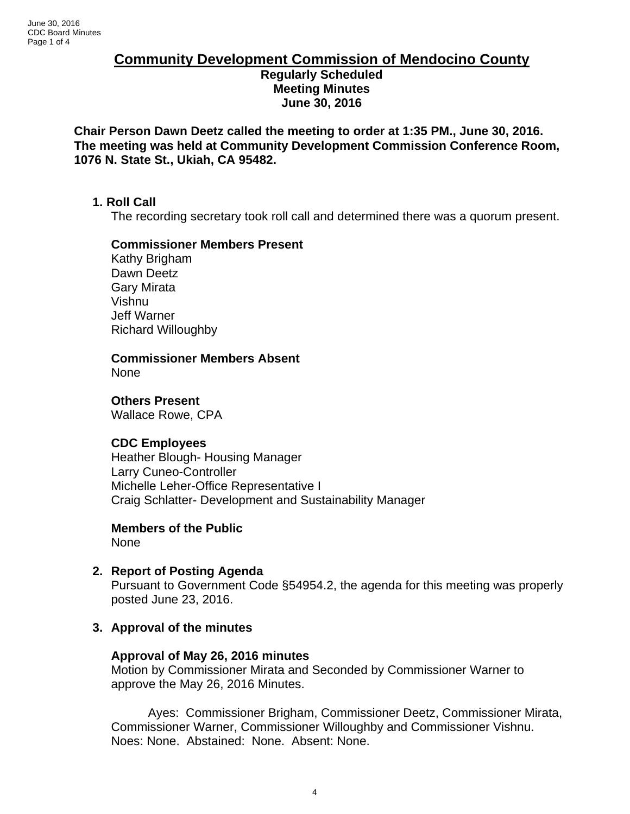### **Community Development Commission of Mendocino County Regularly Scheduled Meeting Minutes June 30, 2016**

**Chair Person Dawn Deetz called the meeting to order at 1:35 PM., June 30, 2016. The meeting was held at Community Development Commission Conference Room, 1076 N. State St., Ukiah, CA 95482.** 

### **1. Roll Call**

The recording secretary took roll call and determined there was a quorum present.

### **Commissioner Members Present**

Kathy Brigham Dawn Deetz Gary Mirata Vishnu Jeff Warner Richard Willoughby

**Commissioner Members Absent** 

None

**Others Present** 

Wallace Rowe, CPA

### **CDC Employees**

Heather Blough- Housing Manager Larry Cuneo-Controller Michelle Leher-Office Representative I Craig Schlatter- Development and Sustainability Manager

### **Members of the Public**

None

**2. Report of Posting Agenda** Pursuant to Government Code §54954.2, the agenda for this meeting was properly posted June 23, 2016.

### **3. Approval of the minutes**

### **Approval of May 26, 2016 minutes**

Motion by Commissioner Mirata and Seconded by Commissioner Warner to approve the May 26, 2016 Minutes.

Ayes: Commissioner Brigham, Commissioner Deetz, Commissioner Mirata, Commissioner Warner, Commissioner Willoughby and Commissioner Vishnu. Noes: None. Abstained: None. Absent: None.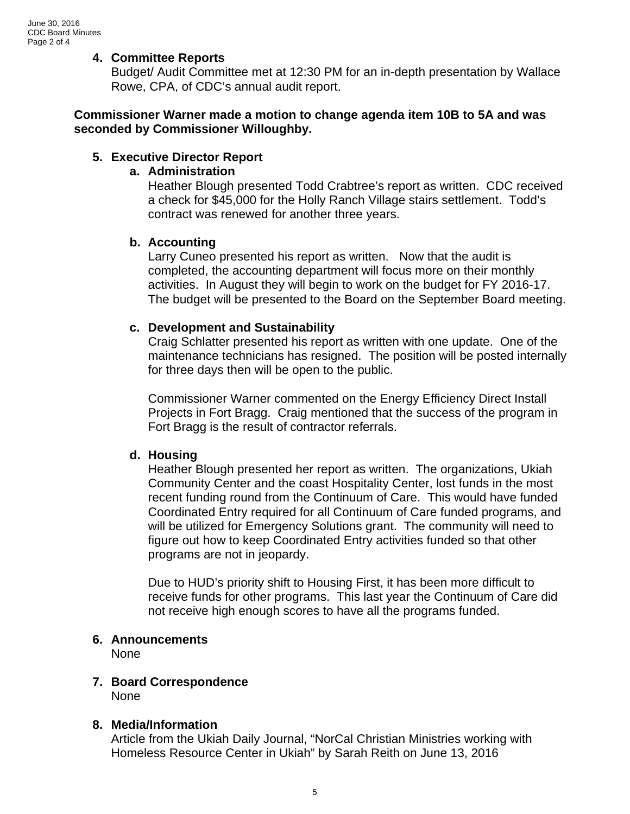### **4. Committee Reports**

Budget/ Audit Committee met at 12:30 PM for an in-depth presentation by Wallace Rowe, CPA, of CDC's annual audit report.

### **Commissioner Warner made a motion to change agenda item 10B to 5A and was seconded by Commissioner Willoughby.**

### **5. Executive Director Report**

### **a. Administration**

Heather Blough presented Todd Crabtree's report as written. CDC received a check for \$45,000 for the Holly Ranch Village stairs settlement. Todd's contract was renewed for another three years.

### **b. Accounting**

Larry Cuneo presented his report as written. Now that the audit is completed, the accounting department will focus more on their monthly activities. In August they will begin to work on the budget for FY 2016-17. The budget will be presented to the Board on the September Board meeting.

### **c. Development and Sustainability**

Craig Schlatter presented his report as written with one update. One of the maintenance technicians has resigned. The position will be posted internally for three days then will be open to the public.

Commissioner Warner commented on the Energy Efficiency Direct Install Projects in Fort Bragg. Craig mentioned that the success of the program in Fort Bragg is the result of contractor referrals.

### **d. Housing**

Heather Blough presented her report as written. The organizations, Ukiah Community Center and the coast Hospitality Center, lost funds in the most recent funding round from the Continuum of Care. This would have funded Coordinated Entry required for all Continuum of Care funded programs, and will be utilized for Emergency Solutions grant. The community will need to figure out how to keep Coordinated Entry activities funded so that other programs are not in jeopardy.

Due to HUD's priority shift to Housing First, it has been more difficult to receive funds for other programs. This last year the Continuum of Care did not receive high enough scores to have all the programs funded.

### **6. Announcements**

None

### **7. Board Correspondence**

None

### **8. Media/Information**

Article from the Ukiah Daily Journal, "NorCal Christian Ministries working with Homeless Resource Center in Ukiah" by Sarah Reith on June 13, 2016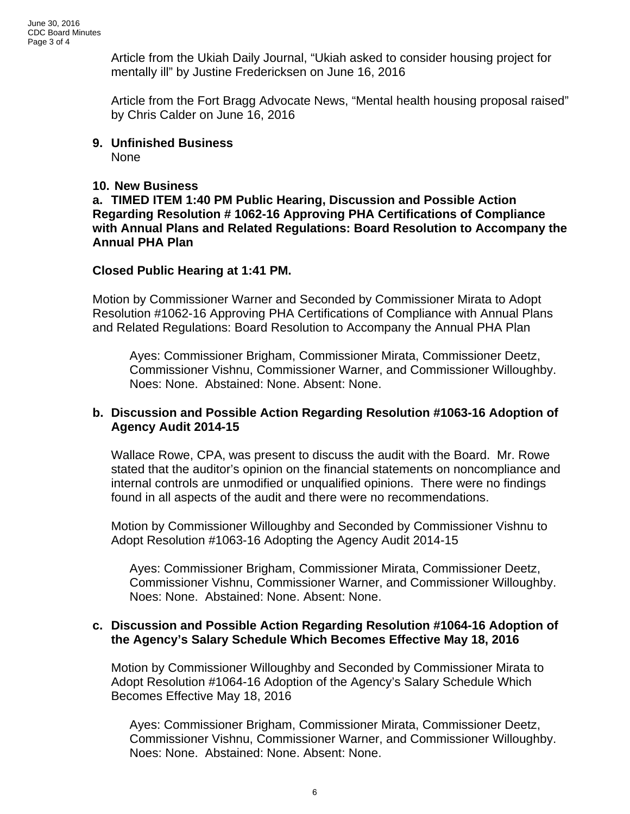Article from the Ukiah Daily Journal, "Ukiah asked to consider housing project for mentally ill" by Justine Fredericksen on June 16, 2016

Article from the Fort Bragg Advocate News, "Mental health housing proposal raised" by Chris Calder on June 16, 2016

### **9. Unfinished Business**  None

### **10. New Business**

**a. TIMED ITEM 1:40 PM Public Hearing, Discussion and Possible Action Regarding Resolution # 1062-16 Approving PHA Certifications of Compliance with Annual Plans and Related Regulations: Board Resolution to Accompany the Annual PHA Plan** 

### **Closed Public Hearing at 1:41 PM.**

Motion by Commissioner Warner and Seconded by Commissioner Mirata to Adopt Resolution #1062-16 Approving PHA Certifications of Compliance with Annual Plans and Related Regulations: Board Resolution to Accompany the Annual PHA Plan

Ayes: Commissioner Brigham, Commissioner Mirata, Commissioner Deetz, Commissioner Vishnu, Commissioner Warner, and Commissioner Willoughby. Noes: None. Abstained: None. Absent: None.

### **b. Discussion and Possible Action Regarding Resolution #1063-16 Adoption of Agency Audit 2014-15**

Wallace Rowe, CPA, was present to discuss the audit with the Board. Mr. Rowe stated that the auditor's opinion on the financial statements on noncompliance and internal controls are unmodified or unqualified opinions. There were no findings found in all aspects of the audit and there were no recommendations.

Motion by Commissioner Willoughby and Seconded by Commissioner Vishnu to Adopt Resolution #1063-16 Adopting the Agency Audit 2014-15

Ayes: Commissioner Brigham, Commissioner Mirata, Commissioner Deetz, Commissioner Vishnu, Commissioner Warner, and Commissioner Willoughby. Noes: None. Abstained: None. Absent: None.

### **c. Discussion and Possible Action Regarding Resolution #1064-16 Adoption of the Agency's Salary Schedule Which Becomes Effective May 18, 2016**

 Motion by Commissioner Willoughby and Seconded by Commissioner Mirata to Adopt Resolution #1064-16 Adoption of the Agency's Salary Schedule Which Becomes Effective May 18, 2016

Ayes: Commissioner Brigham, Commissioner Mirata, Commissioner Deetz, Commissioner Vishnu, Commissioner Warner, and Commissioner Willoughby. Noes: None. Abstained: None. Absent: None.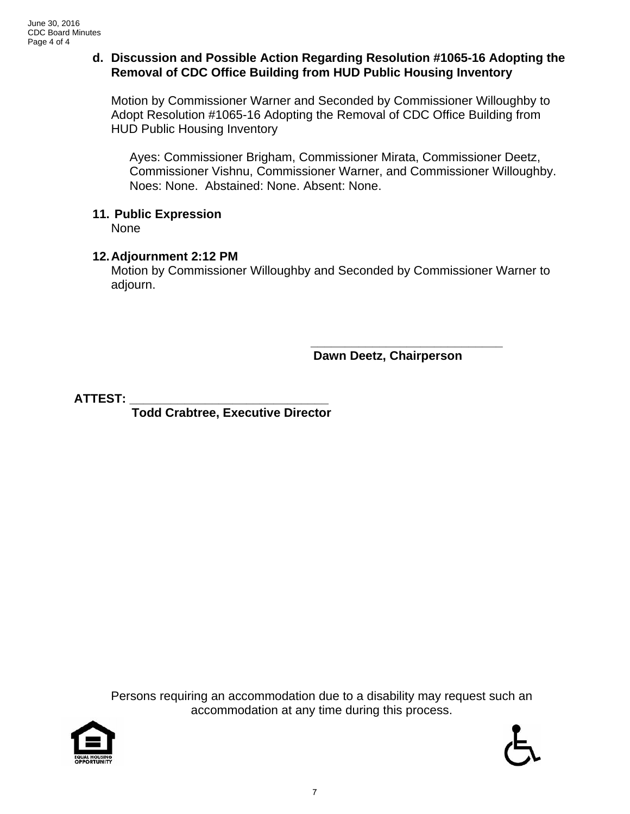### **d. Discussion and Possible Action Regarding Resolution #1065-16 Adopting the Removal of CDC Office Building from HUD Public Housing Inventory**

Motion by Commissioner Warner and Seconded by Commissioner Willoughby to Adopt Resolution #1065-16 Adopting the Removal of CDC Office Building from HUD Public Housing Inventory

Ayes: Commissioner Brigham, Commissioner Mirata, Commissioner Deetz, Commissioner Vishnu, Commissioner Warner, and Commissioner Willoughby. Noes: None. Abstained: None. Absent: None.

### **11. Public Expression**

None

### **12. Adjournment 2:12 PM**

Motion by Commissioner Willoughby and Seconded by Commissioner Warner to adjourn.

 **\_\_\_\_\_\_\_\_\_\_\_\_\_\_\_\_\_\_\_\_\_\_\_\_\_\_\_\_ Dawn Deetz, Chairperson** 

**ATTEST: \_\_\_\_\_\_\_\_\_\_\_\_\_\_\_\_\_\_\_\_\_\_\_\_\_\_\_\_\_** 

 **Todd Crabtree, Executive Director** 

Persons requiring an accommodation due to a disability may request such an accommodation at any time during this process.



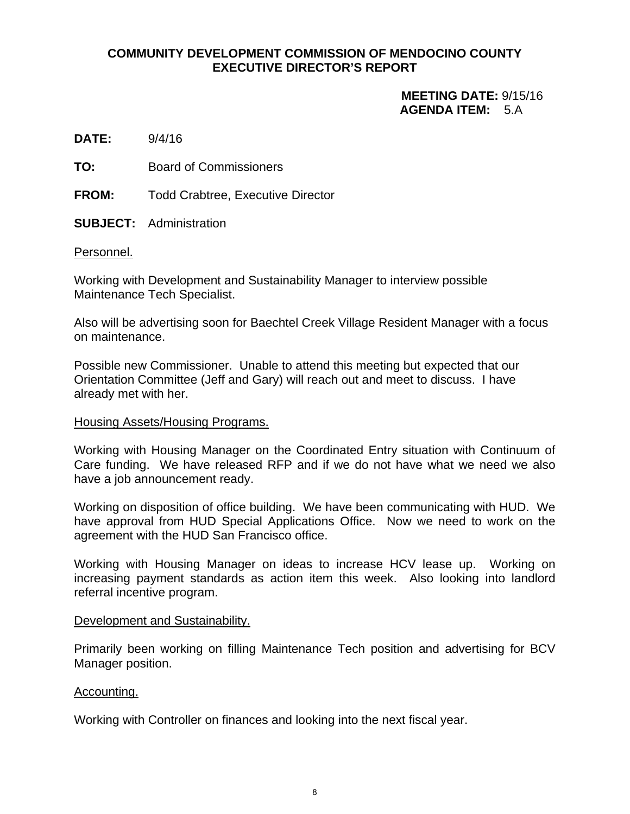### **COMMUNITY DEVELOPMENT COMMISSION OF MENDOCINO COUNTY EXECUTIVE DIRECTOR'S REPORT**

### **MEETING DATE:** 9/15/16  **AGENDA ITEM:** 5.A

**DATE:** 9/4/16

**TO:** Board of Commissioners

**FROM:** Todd Crabtree, Executive Director

**SUBJECT:** Administration

### Personnel.

Working with Development and Sustainability Manager to interview possible Maintenance Tech Specialist.

Also will be advertising soon for Baechtel Creek Village Resident Manager with a focus on maintenance.

Possible new Commissioner. Unable to attend this meeting but expected that our Orientation Committee (Jeff and Gary) will reach out and meet to discuss. I have already met with her.

### Housing Assets/Housing Programs.

Working with Housing Manager on the Coordinated Entry situation with Continuum of Care funding. We have released RFP and if we do not have what we need we also have a job announcement ready.

Working on disposition of office building. We have been communicating with HUD. We have approval from HUD Special Applications Office. Now we need to work on the agreement with the HUD San Francisco office.

Working with Housing Manager on ideas to increase HCV lease up. Working on increasing payment standards as action item this week. Also looking into landlord referral incentive program.

### Development and Sustainability.

Primarily been working on filling Maintenance Tech position and advertising for BCV Manager position.

### Accounting.

Working with Controller on finances and looking into the next fiscal year.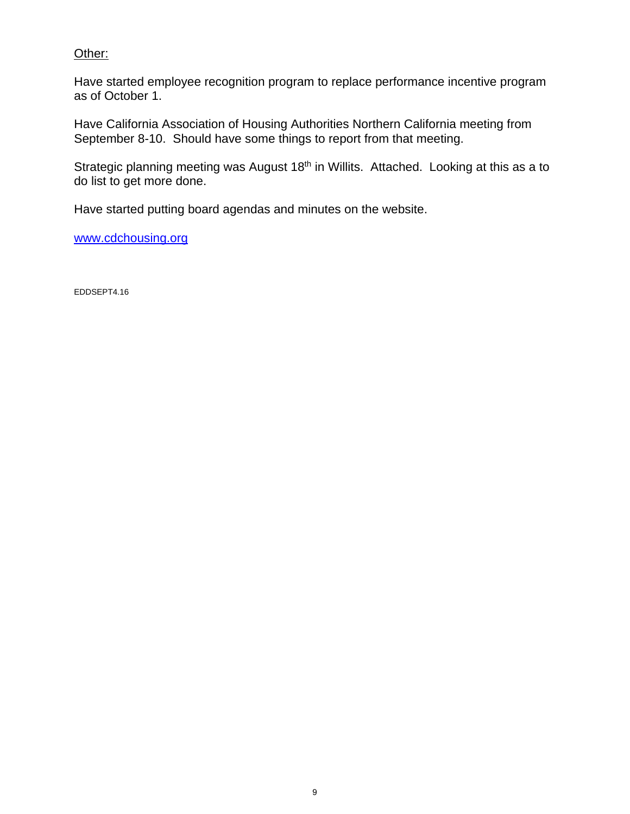### Other:

Have started employee recognition program to replace performance incentive program as of October 1.

Have California Association of Housing Authorities Northern California meeting from September 8-10. Should have some things to report from that meeting.

Strategic planning meeting was August 18<sup>th</sup> in Willits. Attached. Looking at this as a to do list to get more done.

Have started putting board agendas and minutes on the website.

www.cdchousing.org

EDDSEPT4.16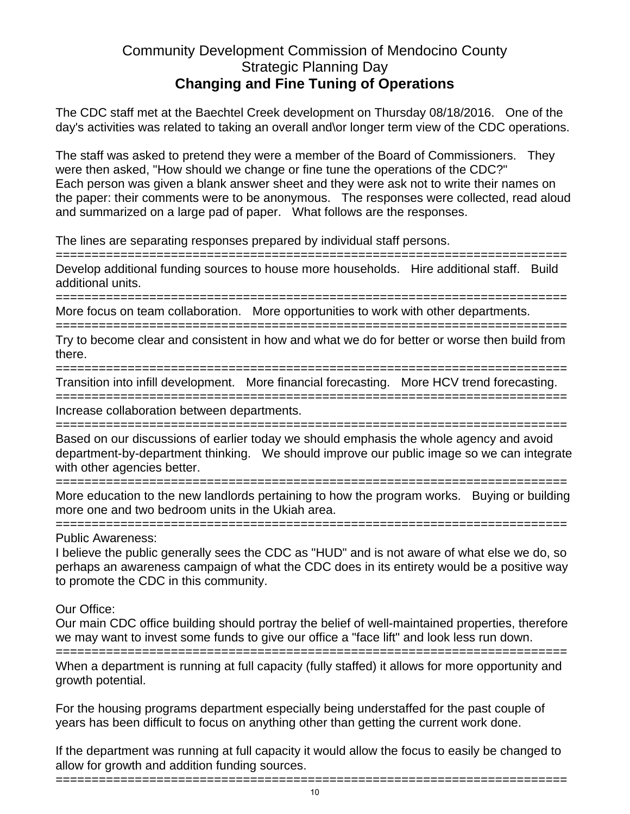### Community Development Commission of Mendocino County Strategic Planning Day **Changing and Fine Tuning of Operations**

The CDC staff met at the Baechtel Creek development on Thursday 08/18/2016. One of the day's activities was related to taking an overall and\or longer term view of the CDC operations.

The staff was asked to pretend they were a member of the Board of Commissioners. They were then asked, "How should we change or fine tune the operations of the CDC?" Each person was given a blank answer sheet and they were ask not to write their names on the paper: their comments were to be anonymous. The responses were collected, read aloud and summarized on a large pad of paper. What follows are the responses.

The lines are separating responses prepared by individual staff persons.

======================================================================= Develop additional funding sources to house more households. Hire additional staff. Build additional units.

=======================================================================

More focus on team collaboration. More opportunities to work with other departments.

======================================================================= Try to become clear and consistent in how and what we do for better or worse then build from there.

=======================================================================

Transition into infill development. More financial forecasting. More HCV trend forecasting.

======================================================================= Increase collaboration between departments.

======================================================================= Based on our discussions of earlier today we should emphasis the whole agency and avoid department-by-department thinking. We should improve our public image so we can integrate with other agencies better.

=======================================================================

More education to the new landlords pertaining to how the program works. Buying or building more one and two bedroom units in the Ukiah area.

Public Awareness:

=======================================================================

=======================================================================

I believe the public generally sees the CDC as "HUD" and is not aware of what else we do, so perhaps an awareness campaign of what the CDC does in its entirety would be a positive way to promote the CDC in this community.

Our Office:

Our main CDC office building should portray the belief of well-maintained properties, therefore we may want to invest some funds to give our office a "face lift" and look less run down.

=======================================================================

When a department is running at full capacity (fully staffed) it allows for more opportunity and growth potential.

For the housing programs department especially being understaffed for the past couple of years has been difficult to focus on anything other than getting the current work done.

If the department was running at full capacity it would allow the focus to easily be changed to allow for growth and addition funding sources.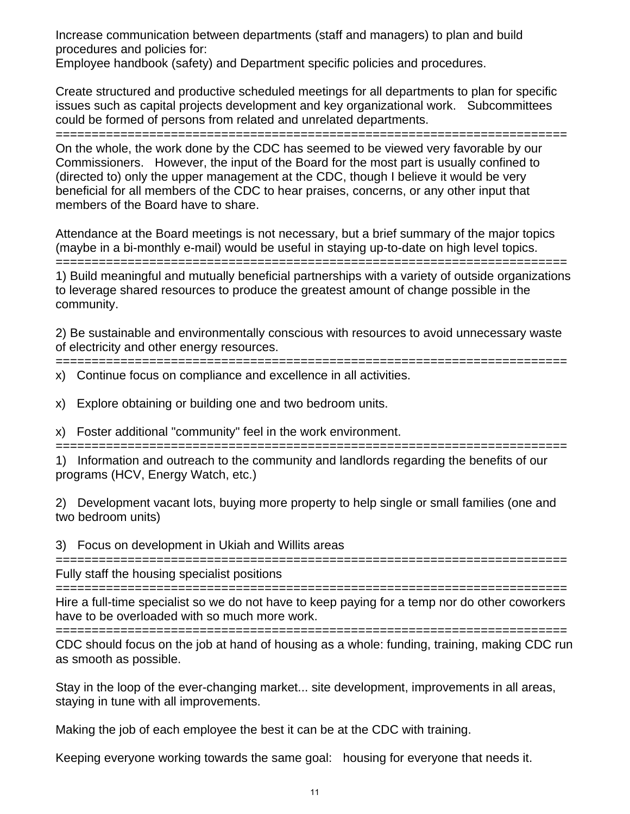Increase communication between departments (staff and managers) to plan and build procedures and policies for:

Employee handbook (safety) and Department specific policies and procedures.

Create structured and productive scheduled meetings for all departments to plan for specific issues such as capital projects development and key organizational work. Subcommittees could be formed of persons from related and unrelated departments.

=======================================================================

On the whole, the work done by the CDC has seemed to be viewed very favorable by our Commissioners. However, the input of the Board for the most part is usually confined to (directed to) only the upper management at the CDC, though I believe it would be very beneficial for all members of the CDC to hear praises, concerns, or any other input that members of the Board have to share.

Attendance at the Board meetings is not necessary, but a brief summary of the major topics (maybe in a bi-monthly e-mail) would be useful in staying up-to-date on high level topics. =======================================================================

1) Build meaningful and mutually beneficial partnerships with a variety of outside organizations to leverage shared resources to produce the greatest amount of change possible in the community.

2) Be sustainable and environmentally conscious with resources to avoid unnecessary waste of electricity and other energy resources.

======================================================================= x) Continue focus on compliance and excellence in all activities.

x) Explore obtaining or building one and two bedroom units.

x) Foster additional "community" feel in the work environment.

=======================================================================

1) Information and outreach to the community and landlords regarding the benefits of our programs (HCV, Energy Watch, etc.)

2) Development vacant lots, buying more property to help single or small families (one and two bedroom units)

3) Focus on development in Ukiah and Willits areas

======================================================================= Fully staff the housing specialist positions

=======================================================================

Hire a full-time specialist so we do not have to keep paying for a temp nor do other coworkers have to be overloaded with so much more work.

======================================================================= CDC should focus on the job at hand of housing as a whole: funding, training, making CDC run as smooth as possible.

Stay in the loop of the ever-changing market... site development, improvements in all areas, staying in tune with all improvements.

Making the job of each employee the best it can be at the CDC with training.

Keeping everyone working towards the same goal: housing for everyone that needs it.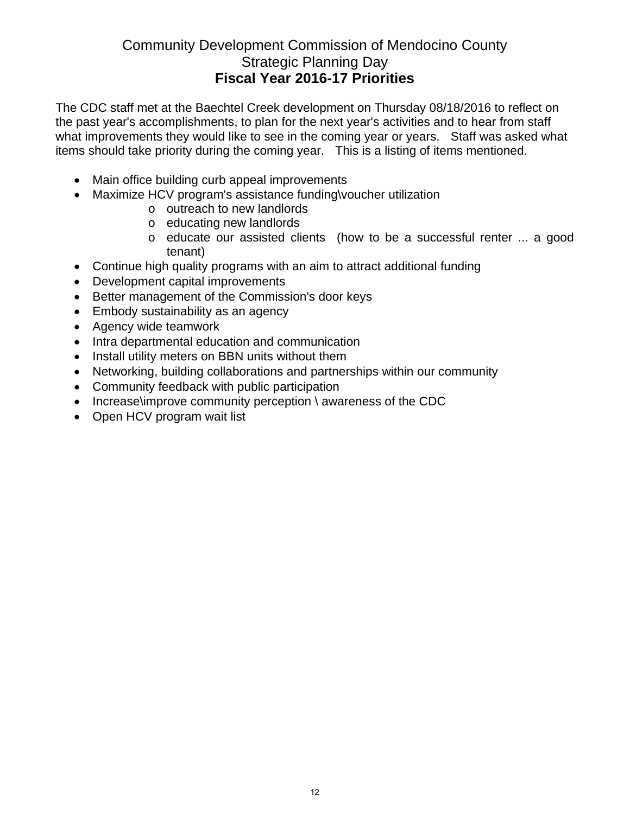### Community Development Commission of Mendocino County Strategic Planning Day **Fiscal Year 2016-17 Priorities**

The CDC staff met at the Baechtel Creek development on Thursday 08/18/2016 to reflect on the past year's accomplishments, to plan for the next year's activities and to hear from staff what improvements they would like to see in the coming year or years. Staff was asked what items should take priority during the coming year. This is a listing of items mentioned.

- Main office building curb appeal improvements
- Maximize HCV program's assistance funding\voucher utilization
	- o outreach to new landlords
	- o educating new landlords
	- o educate our assisted clients (how to be a successful renter ... a good tenant)
- Continue high quality programs with an aim to attract additional funding
- Development capital improvements
- Better management of the Commission's door keys
- Embody sustainability as an agency
- Agency wide teamwork
- Intra departmental education and communication
- Install utility meters on BBN units without them
- Networking, building collaborations and partnerships within our community
- Community feedback with public participation
- Increase\improve community perception \ awareness of the CDC
- Open HCV program wait list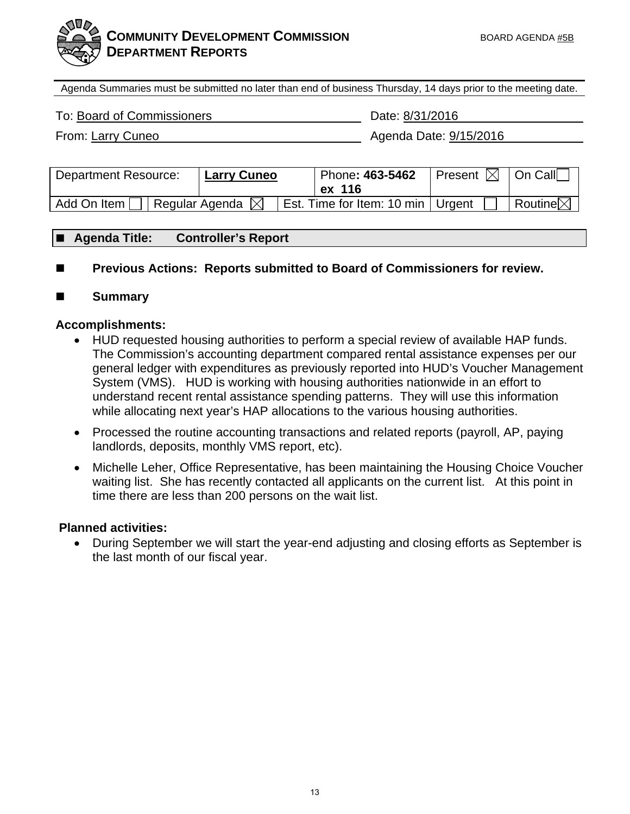

Agenda Summaries must be submitted no later than end of business Thursday, 14 days prior to the meeting date.

To: Board of Commissioners Date: 8/31/2016

From: Larry Cuneo **Agents** Agenda Date: 9/15/2016

| <b>Department Resource:</b>   | Larry Cuneo | Phone: 463-5462<br>ex 116           | Present $\boxtimes$   On Call |                     |
|-------------------------------|-------------|-------------------------------------|-------------------------------|---------------------|
| Regular Agenda<br>Add On Item |             | Est. Time for Item: 10 min   Urgent |                               | Routine $\boxtimes$ |

### **Agenda Title: Controller's Report**

- Previous Actions: Reports submitted to Board of Commissioners for review.
- **Summary**

### **Accomplishments:**

- HUD requested housing authorities to perform a special review of available HAP funds. The Commission's accounting department compared rental assistance expenses per our general ledger with expenditures as previously reported into HUD's Voucher Management System (VMS). HUD is working with housing authorities nationwide in an effort to understand recent rental assistance spending patterns. They will use this information while allocating next year's HAP allocations to the various housing authorities.
- Processed the routine accounting transactions and related reports (payroll, AP, paying landlords, deposits, monthly VMS report, etc).
- Michelle Leher, Office Representative, has been maintaining the Housing Choice Voucher waiting list. She has recently contacted all applicants on the current list. At this point in time there are less than 200 persons on the wait list.

### **Planned activities:**

 During September we will start the year-end adjusting and closing efforts as September is the last month of our fiscal year.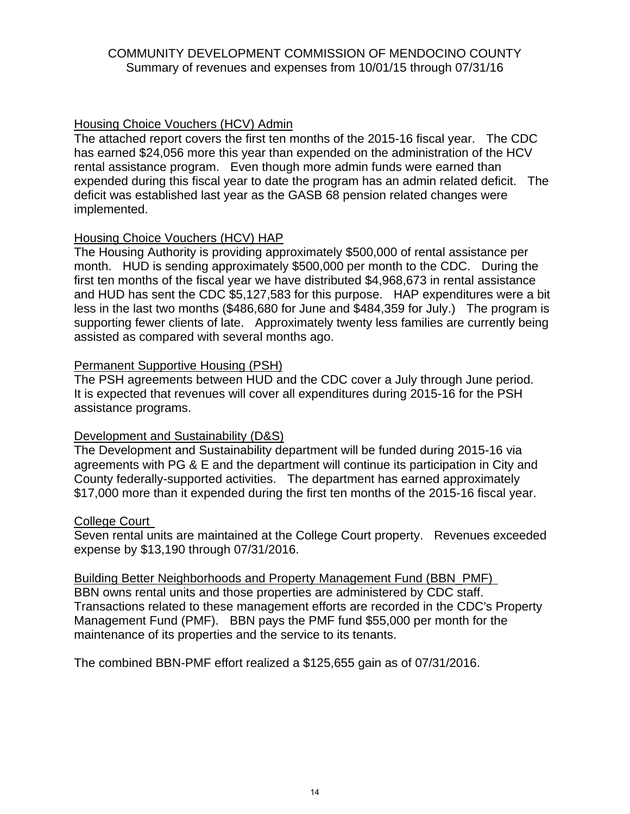### COMMUNITY DEVELOPMENT COMMISSION OF MENDOCINO COUNTY Summary of revenues and expenses from 10/01/15 through 07/31/16

### Housing Choice Vouchers (HCV) Admin

The attached report covers the first ten months of the 2015-16 fiscal year. The CDC has earned \$24,056 more this year than expended on the administration of the HCV rental assistance program. Even though more admin funds were earned than expended during this fiscal year to date the program has an admin related deficit. The deficit was established last year as the GASB 68 pension related changes were implemented.

### Housing Choice Vouchers (HCV) HAP

The Housing Authority is providing approximately \$500,000 of rental assistance per month. HUD is sending approximately \$500,000 per month to the CDC. During the first ten months of the fiscal year we have distributed \$4,968,673 in rental assistance and HUD has sent the CDC \$5,127,583 for this purpose. HAP expenditures were a bit less in the last two months (\$486,680 for June and \$484,359 for July.) The program is supporting fewer clients of late. Approximately twenty less families are currently being assisted as compared with several months ago.

### Permanent Supportive Housing (PSH)

The PSH agreements between HUD and the CDC cover a July through June period. It is expected that revenues will cover all expenditures during 2015-16 for the PSH assistance programs.

### Development and Sustainability (D&S)

The Development and Sustainability department will be funded during 2015-16 via agreements with PG & E and the department will continue its participation in City and County federally-supported activities. The department has earned approximately \$17,000 more than it expended during the first ten months of the 2015-16 fiscal year.

### College Court

Seven rental units are maintained at the College Court property. Revenues exceeded expense by \$13,190 through 07/31/2016.

Building Better Neighborhoods and Property Management Fund (BBN\_PMF) BBN owns rental units and those properties are administered by CDC staff. Transactions related to these management efforts are recorded in the CDC's Property Management Fund (PMF). BBN pays the PMF fund \$55,000 per month for the maintenance of its properties and the service to its tenants.

The combined BBN-PMF effort realized a \$125,655 gain as of 07/31/2016.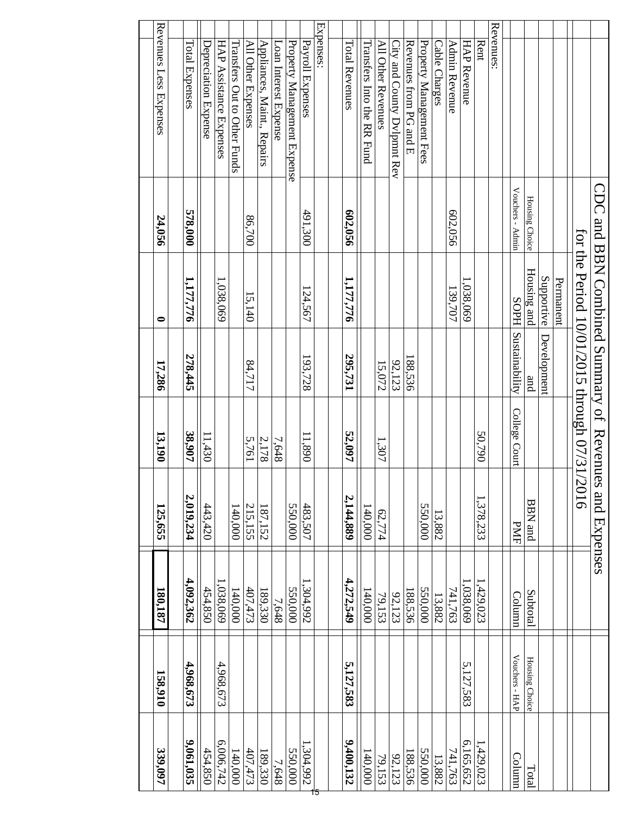| 158,910        | 180,187   | 125,655                                               | 13,190        | 17,286              | 0                                            | 24,056           | Revenues Less Expenses       |
|----------------|-----------|-------------------------------------------------------|---------------|---------------------|----------------------------------------------|------------------|------------------------------|
| 4,968,673      | 4,092,362 | 2,019,234                                             | 38,907        | 278,445             | 1,177,776                                    | 578,000          | Total Expenses               |
|                | 454,850   | 443,420                                               | 11,430        |                     |                                              |                  | Depreciation Expense         |
| 4,968,673      | 1,038,069 |                                                       |               |                     | 1,038,069                                    |                  | HAP Assistance Expenses      |
|                | 140,000   | 140,000                                               |               |                     |                                              |                  | Transfers Out to Other Funds |
|                | 407,473   | 215,155                                               | 5,761         | 84,717              | 15,140                                       | 86,700           | All Other Expenses           |
|                | 189,330   | 187,152                                               | 2,178         |                     |                                              |                  | Appliances, Maint., Repairs  |
|                | 7,648     |                                                       | 7,648         |                     |                                              |                  | Loan Interest Expense        |
|                | 550,000   | 550,000                                               |               |                     |                                              |                  | Property Management Expense  |
|                | 1,304,992 | 483,507                                               | 11,890        | 193,728             | 124,567                                      | 491,300          | Payroll Expenses             |
|                |           |                                                       |               |                     |                                              |                  | Expenses:                    |
|                |           |                                                       |               |                     |                                              |                  |                              |
| 5,127,583      | 4,272,549 | 2,144,889                                             | 52,097        | 295,731             | 1,177,776                                    | 602,056          | Total Revenues               |
|                | 140,000   | 140,000                                               |               |                     |                                              |                  | Transfers Into the RK Fund   |
|                | 79,153    | 62,774                                                | 1,307         | 15,072              |                                              |                  | All Other Revenues           |
|                | 92,123    |                                                       |               | 92,123              |                                              |                  | City and County Dvlpmnt Rev  |
|                | 188,536   |                                                       |               | 188,536             |                                              |                  | Revenues from PG and E       |
|                | 550,000   | 550,000                                               |               |                     |                                              |                  | Property Management Fees     |
|                | 13,882    | 13,882                                                |               |                     |                                              |                  | Cable Charges                |
|                | 741,763   |                                                       |               |                     | 139,707                                      | 602,056          | Admin Revenue                |
| 5,127,583      | 1,038,069 |                                                       |               |                     | 1,038,069                                    |                  | <b>HAP Revenue</b>           |
|                | 1,429,023 | 1,378,233                                             | 50,790        |                     |                                              |                  | Rent                         |
|                |           |                                                       |               |                     |                                              |                  | Revenues:                    |
| Vouchers - HAP | Column    | <b>PMF</b>                                            | College Court | SOPH Sustainability |                                              | Vouchers - Admin |                              |
| Housing Choice | Subtotal  | $_{\rm BBN}$ MBB                                      |               | and                 | Housing and                                  | Housing Choice   |                              |
|                |           |                                                       |               | Development         | Supportive                                   |                  |                              |
|                |           |                                                       |               |                     | Permanent                                    |                  |                              |
|                |           |                                                       |               |                     | for the Period 10/01/2015 through 07/31/2016 |                  |                              |
|                |           | CDC and BBN Combined Summary of Revenues and Expenses |               |                     |                                              |                  |                              |
|                |           |                                                       |               |                     |                                              |                  |                              |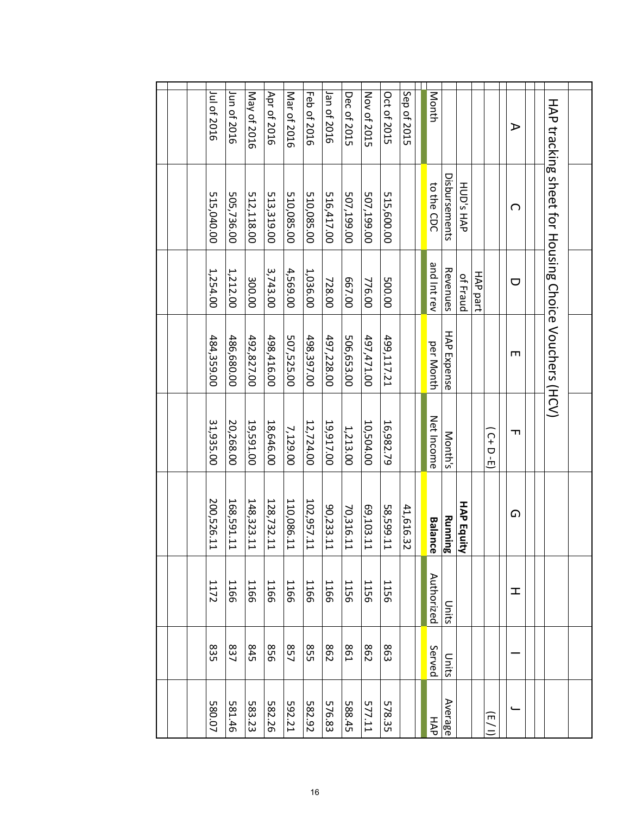| 580.07                 | 835        | 1172        | 200,526.1<br>⊢                       | 31,935.00         | 484,359.00  | 1,254.00    | 515,040.00                                           | Jul of 2016 |
|------------------------|------------|-------------|--------------------------------------|-------------------|-------------|-------------|------------------------------------------------------|-------------|
| 581.46                 | 837        | 1166        | 168,591.1<br>⊢                       | 20,268.00         | 486,680.00  | 1,212.00    | 505,736.00                                           | Jun of 2016 |
| 583.23                 | <b>S45</b> | 1166        | 148,323.1<br>$\mapsto$               | 19,591.00         | 492,827.00  | 300.00      | 512,118.00                                           | May of 2016 |
| 582.26                 | 958        | <b>1166</b> | 128,732.1<br>I                       | 18,646.00         | 498,416.00  | 3,743.00    | 513,319.00                                           | Apr of 2016 |
| 592.21                 | 857        | 1166        | 110,086.1<br>⊢                       | 7,129.00          | 507,525.00  | 4,569.00    | 510,085.00                                           | Mar of 2016 |
| 582.92                 | S55        | 1166        | 102,957.1<br>L                       | 12,724.00         | 498,397.00  | 1,036.00    | 510,085.00                                           | Feb of 2016 |
| 576.83                 | 862        | 1166        | 90,233.1<br>$\mapsto$                | 19,917.00         | 497,228.00  | 728.00      | 516,417.00                                           | Jan of 2016 |
| 588.45                 | <b>S61</b> | <b>1156</b> | 70,316.1<br>$\mapsto$                | 1,213.00          | 506,653.00  | 667.00      | 507,199.00                                           | Dec of 2015 |
| 577.11                 | 862        | 1156        | 69,103.1<br>$\overline{\phantom{0}}$ | 10,504.00         | 497,471.00  | 776.00      | 00'661'/03                                           | Nov of 2015 |
| 578.35                 | 863        | 1156        | 58,599.1<br>⊢                        | 16,982.79         | 499,117.21  | 500.00      | 515,600.00                                           | Oct of 2015 |
|                        |            |             | 41,616.3<br>Ñ                        |                   |             |             |                                                      | Sep of 2015 |
|                        |            |             |                                      |                   |             |             |                                                      |             |
| HAP                    | Served     | Authorized  | <b>Balance</b>                       | <b>Net Income</b> | per Month   | and Int rev | to the CDC                                           | Month       |
| Average                | Units      | Units       | Running                              | Month's           | HAP Expense | Revenues    | Disbursements                                        |             |
|                        |            |             | HAP Equi<br>₹                        |                   |             | of Fraud    | HUD's HAP                                            |             |
|                        |            |             |                                      |                   |             | HAP part    |                                                      |             |
| $\widehat{\mathsf{m}}$ |            |             |                                      | $(C+D-E)$         |             |             |                                                      |             |
|                        |            | ェ           | ໑                                    | ᆩ                 | ш           | U           | റ                                                    | ⋗           |
|                        |            |             |                                      |                   |             |             |                                                      |             |
|                        |            |             |                                      |                   |             |             | HAP tracking sheet for Housing Choice Vouchers (HCV) |             |
|                        |            |             |                                      |                   |             |             |                                                      |             |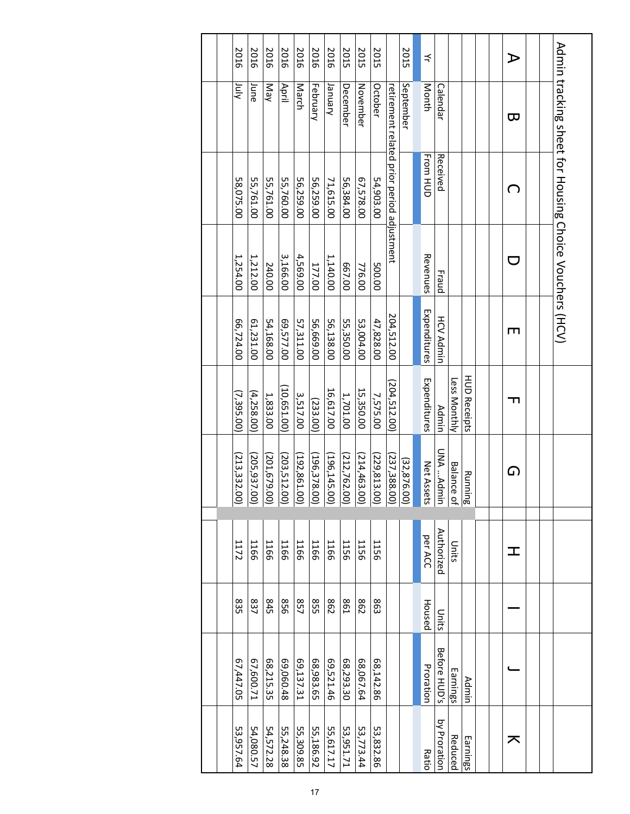|  | 2016         | 2016                                                                        | 2016       | 2016          | 2016          | 2016          | 2016                                             | 2015      | 2015      | 2015          |                                            | 2015                               | ₹               |                     |                              |                     |  | ⊅ |  |                                                         |
|--|--------------|-----------------------------------------------------------------------------|------------|---------------|---------------|---------------|--------------------------------------------------|-----------|-----------|---------------|--------------------------------------------|------------------------------------|-----------------|---------------------|------------------------------|---------------------|--|---|--|---------------------------------------------------------|
|  | χίμ          | June                                                                        | Nay        | April         | March         | February      | yanuary                                          | December  | November  | October       |                                            | September                          | Month           | Calendar            |                              |                     |  | ᡂ |  |                                                         |
|  | 58,075.00    | 55,761.00                                                                   | 55,761.00  | 55,760.00     | 56,259.00     | 56,259.00     | 71,615.00                                        | 56,384.00 | 67,578.00 | 54,903.00     | retirement related prior period adjustment |                                    | <b>From HUD</b> | Received            |                              |                     |  | ∩ |  | Admin tracking sheet for Horising Choice Vouchers (HCV) |
|  | 1,254.00     | 1,212.00                                                                    | 240.00     | 3,166.00      | 4,569.00      | 177.00        | 1,140.00                                         | 00'299    | 776.00    | 500.00        |                                            |                                    | Revenues        | Fraud               |                              |                     |  |   |  |                                                         |
|  | 66,724.00    | 61,231.00                                                                   | 54,168.00  | 69,577.00     | 57,311.00     | 56,669.00     | 56,138.00                                        | 55,350.00 | 53,004.00 | 47,828.00     | 204,512.00                                 |                                    | Expenditures    | <b>HCV Admin</b>    |                              |                     |  | ш |  |                                                         |
|  | (7, 395, 00) | (4, 258.00)                                                                 | 1,833.00   | (10, 651, 00) | 3,517.00      | (233.00)      | 16,617.00                                        | 1,701.00  | 15,350.00 | 7,575.00      | (204, 512.00)                              |                                    | Expenditures    | <b>Admin</b>        | Less Monthly                 | <b>HUD Receipts</b> |  | ᆩ |  |                                                         |
|  |              | $\frac{(203, 512.00)}{(205, 937.00)}$ $\frac{(205, 937.00)}{(213, 332.00)}$ |            |               | (192, 861.00) | (196, 378.00) | $\frac{(214,463.00)}{(212,762.00)}$ (196,145.00) |           |           | (229, 813.00) |                                            | $\frac{(32,876.00)}{(237,388.00)}$ | Net Assets      | UNA Admin           | <b>Running</b><br>Balance of |                     |  | ഹ |  |                                                         |
|  | 1172         | 1166                                                                        | 1166       | 1166          | 1166          | 1166          | 1166                                             | 1156      | 1156      | 1156          |                                            |                                    | per ACC         | Authorized          | Units                        |                     |  | 工 |  |                                                         |
|  | 835          | 837                                                                         | <b>845</b> | 958           | 857           | SS5           | 862                                              | I98       | 298       | <b>863</b>    |                                            |                                    | Housed          | Units               |                              |                     |  |   |  |                                                         |
|  | 67,447.05    | 67,600.71                                                                   | 68,215.35  | 69,060.48     | 69,137.31     | 68,983.65     | 69,521.46                                        | 68,293.30 | 68,067.64 | 68,142.86     |                                            |                                    | Proration       | <b>Before HUD's</b> | Earnings                     | Admin               |  |   |  |                                                         |
|  | 53,957.64    | 54,080.57                                                                   | 54,572.28  | 55,248.38     | 55,309.85     | 55,186.92     | 55,617.17                                        | 53,951.71 | 53,773.44 | 53,832.86     |                                            |                                    | <b>Ratio</b>    | by Proration        | Reduced                      | Earnings            |  | ᅎ |  |                                                         |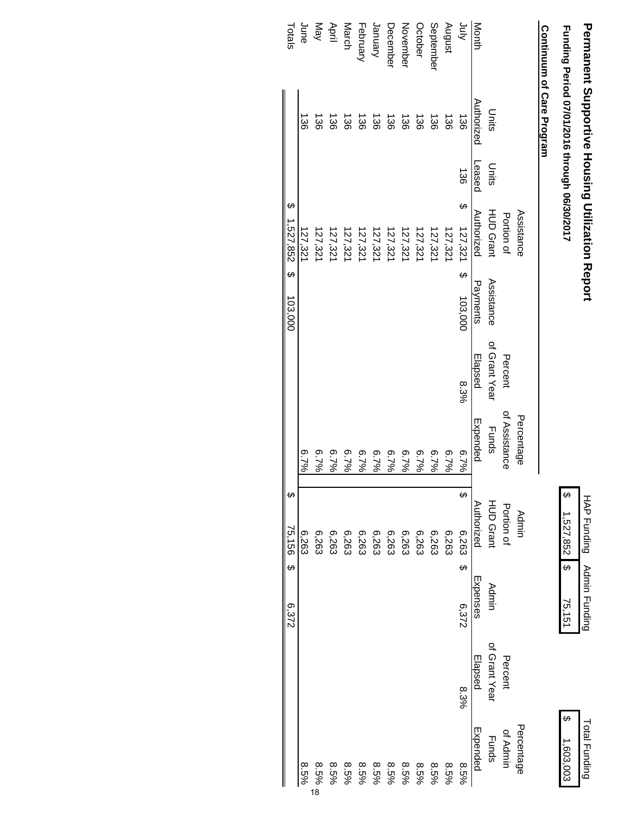# **Permanent Supportive Housing Utilization Report Permanent Supportive Housing Utilization Report**

HAP Funding

 $\ddot{\bm{\theta}}$ 

 $1,527,852$  \$

Admin Funding

HAP Funding Admin Funding

1,527,852 \$ 75,151 \$ 1,603,003 \$

75,151

Total Funding

\$  $1,603,003$ **Total Funding** 

Funding Period 07/01/2016 through 06/30/2017  **Funding Period 07/01/2016 through 06/30/2017**

### Continuum of Care Program  **Continuum of Care Program**

|             |                       |        | Assistance         |            |               | Percentage    | Admin             |          |               | Percentage   |
|-------------|-----------------------|--------|--------------------|------------|---------------|---------------|-------------------|----------|---------------|--------------|
|             |                       |        | Portion of         |            | Percent       | of Assistance | Portion of        |          | Percent       | of Admin     |
|             | Units                 | Units  | <b>HUD Grant</b>   | Assistance | of Grant Year | <b>Funds</b>  | <b>HUD Grant</b>  | Admin    | of Grant Year | <b>Funds</b> |
| Month       | Authorized            | Leased | Authorized         | Payments   | Elapsed       | Expended      | Authorized        | Expenses | Elapsed       | Expended     |
| <b>Ainr</b> | $\frac{38}{2}$        | 136    | မာ<br>$127,321$ \$ | 103,000    | 8.3%          | 6.7%          | G,<br>$6,263$ \$  | 6,372    | 8.3%          | $8.5\%$      |
| August      | 136                   |        | 127,321            |            |               | 6.7%          | 6,263             |          |               | 8.5%         |
| September   | 136                   |        | 127,321            |            |               | 6.7%          | 6,263             |          |               | 8.5%         |
| October     | 981                   |        | 127,32             |            |               | 6.7%          | 6,263             |          |               | 8.5%         |
| November    | $\frac{136}{2}$       |        | 127,321            |            |               | 6.7%          | 6,263             |          |               | 8.5%         |
| December    | 136                   |        | 127,321            |            |               | 6.7%          | 6,263             |          |               | 8.5%         |
| January     | 136                   |        | 127,321            |            |               | 6.7%          | 6,263             |          |               | 8.5%         |
| February    | 9٤J                   |        | 127,321            |            |               | 6.7%          | 6,263             |          |               | 8.5%         |
| March       | 136                   |        | 127,321            |            |               | 6.7%          | 6,263             |          |               | 8.5%         |
| April       | 136                   |        | 127,321            |            |               | 6.7%          | 6,263             |          |               | 8.5%         |
| Vay         | ಯ<br>೧೯               |        | 127,321            |            |               | 6.7%          | 6,263             |          |               | 8.5%         |
| June        | $\overrightarrow{36}$ |        | 127,321            |            |               | 8.7%          | 6,263             |          |               | 8.5%         |
| Totals      |                       |        | $$1,527,852$$ \$   | 103,000    |               |               | ↔<br>75,156<br>မှ | 6,372    |               |              |

18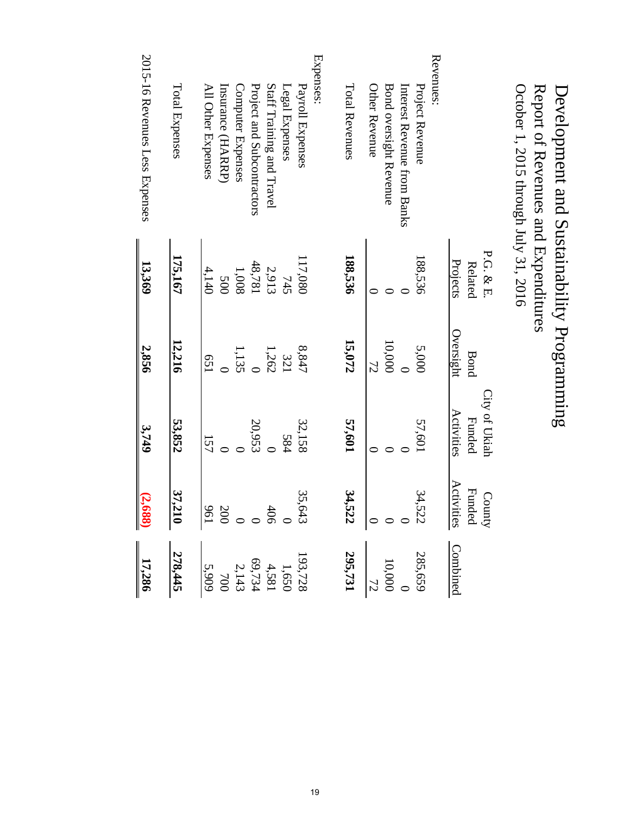| October 1, 2015 through July 31, 2016<br>Report of Revenues and Expenditures |            |                |               |                                                    |                                                                                       |
|------------------------------------------------------------------------------|------------|----------------|---------------|----------------------------------------------------|---------------------------------------------------------------------------------------|
|                                                                              | P.G. & E.  |                | City of Ukiah |                                                    |                                                                                       |
|                                                                              | Related    | <b>Bond</b>    | <b>Funded</b> |                                                    |                                                                                       |
|                                                                              | Projects   | Oversight      | Activities    | County<br>Funded<br>Activities                     | <b>Combined</b>                                                                       |
| Revenues:                                                                    |            |                |               |                                                    |                                                                                       |
| Project Revenue                                                              | 188,536    | 5,000          | 57,601        |                                                    |                                                                                       |
| Interest Revenue from Banks                                                  |            |                |               |                                                    |                                                                                       |
| Bond oversight Revenue                                                       |            | 10,000         |               |                                                    |                                                                                       |
| Other Revenue                                                                |            | 72             | ⊂             |                                                    | $285,659$<br>10,000<br>$\frac{10,000}{72}$                                            |
| Total Revenues                                                               | 188,536    | 15,072         | 57,601        | 34,522<br>$34,522$<br>34,522                       | 295,731                                                                               |
| Expenses:                                                                    |            |                |               |                                                    |                                                                                       |
| Payroll Expenses                                                             | 17,080     | 8,847          | 32,158        |                                                    |                                                                                       |
| Legal Expenses                                                               | 745        | 321            | 584           |                                                    |                                                                                       |
| Staff Training and Travel                                                    | 2,913      | 1,262          |               |                                                    |                                                                                       |
| Project and Subcontractors                                                   | 48,781     | $\overline{C}$ | 20,953        |                                                    |                                                                                       |
| Computer Expenses                                                            | 1,008      | 1,135          |               |                                                    |                                                                                       |
| Insurance (HARRP)                                                            | <b>500</b> |                |               |                                                    |                                                                                       |
| All Other Expenses                                                           | 4,140      | 159            | 157           | 35,643<br>406<br>406<br>$\frac{35,643}{00}$<br>200 | $\begin{array}{r} 193,728 \\ 1,650 \\ 1,69,734 \\ 2,143 \\ 700 \\ \hline \end{array}$ |
| Total Expenses                                                               | 175,167    | 12,216         | 53,852        | 37,210                                             | 278,445                                                                               |
| 2015-16 Revenues Less Expenses                                               | 13,369     | 2,856          | 3,749         | (2, 688)                                           |                                                                                       |
|                                                                              |            |                |               |                                                    | 17,286                                                                                |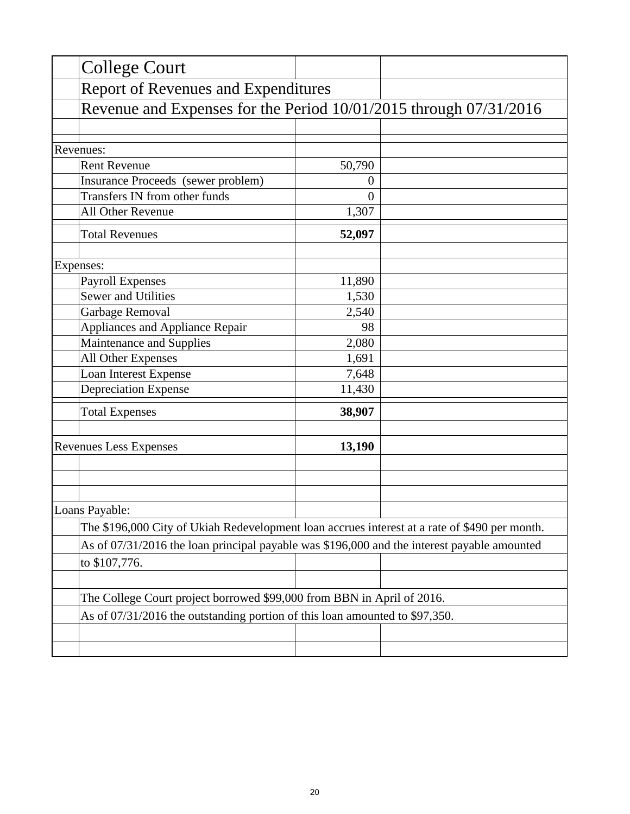| <b>College Court</b>                                                                          |                  |  |
|-----------------------------------------------------------------------------------------------|------------------|--|
| <b>Report of Revenues and Expenditures</b>                                                    |                  |  |
| Revenue and Expenses for the Period 10/01/2015 through 07/31/2016                             |                  |  |
|                                                                                               |                  |  |
| Revenues:                                                                                     |                  |  |
| <b>Rent Revenue</b>                                                                           | 50,790           |  |
| Insurance Proceeds (sewer problem)                                                            | $\boldsymbol{0}$ |  |
| Transfers IN from other funds                                                                 | $\overline{0}$   |  |
| All Other Revenue                                                                             | 1,307            |  |
| <b>Total Revenues</b>                                                                         | 52,097           |  |
| Expenses:                                                                                     |                  |  |
| <b>Payroll Expenses</b>                                                                       | 11,890           |  |
| <b>Sewer and Utilities</b>                                                                    | 1,530            |  |
| Garbage Removal                                                                               | 2,540            |  |
| Appliances and Appliance Repair                                                               | 98               |  |
| Maintenance and Supplies                                                                      | 2,080            |  |
| All Other Expenses                                                                            | 1,691            |  |
| Loan Interest Expense                                                                         | 7,648            |  |
| <b>Depreciation Expense</b>                                                                   | 11,430           |  |
| <b>Total Expenses</b>                                                                         | 38,907           |  |
| <b>Revenues Less Expenses</b>                                                                 | 13,190           |  |
|                                                                                               |                  |  |
|                                                                                               |                  |  |
| Loans Payable:                                                                                |                  |  |
| The \$196,000 City of Ukiah Redevelopment loan accrues interest at a rate of \$490 per month. |                  |  |
| As of 07/31/2016 the loan principal payable was \$196,000 and the interest payable amounted   |                  |  |
| to \$107,776.                                                                                 |                  |  |
| The College Court project borrowed \$99,000 from BBN in April of 2016.                        |                  |  |
| As of 07/31/2016 the outstanding portion of this loan amounted to \$97,350.                   |                  |  |
|                                                                                               |                  |  |
|                                                                                               |                  |  |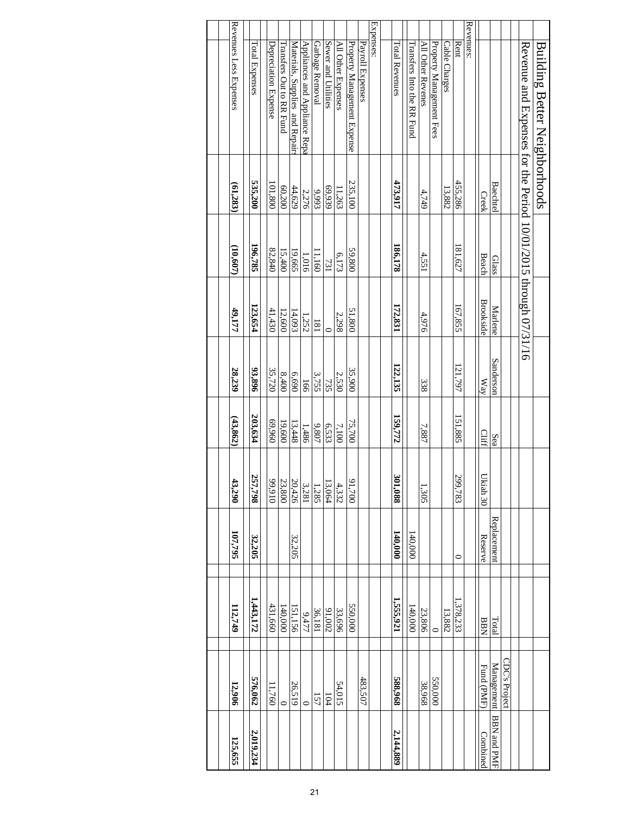| <b>Building Better Neighborhoods</b>                            |                |          |                  |           |          |                                      |             |                |               |                    |
|-----------------------------------------------------------------|----------------|----------|------------------|-----------|----------|--------------------------------------|-------------|----------------|---------------|--------------------|
| Revenue and Expenses for the Period 10/01/2015 through 07/31/16 |                |          |                  |           |          |                                      |             |                |               |                    |
|                                                                 |                |          |                  |           |          |                                      |             |                | CDC's Project |                    |
|                                                                 | <b>Baechte</b> | Glass    | Marlene          | Sanderson | Sea      |                                      | Replacement | Total          | Management    | <b>BBN and PMF</b> |
|                                                                 | Creek          | Beach    | <b>Brookside</b> | Way       | Cliff    | Ukiah 30                             | Reserve     | <b>BBN</b>     | Fund (PMF)    | Combined           |
| Revenues:                                                       |                |          |                  |           |          |                                      |             |                |               |                    |
| Rent                                                            | 455,286        | 181,627  | 167,855          | 121,797   | 151,885  | 299,783                              | $\circ$     | .378,233       |               |                    |
| Cable Charges                                                   | 13,882         |          |                  |           |          |                                      |             | 13,882         |               |                    |
| Property Management Fees                                        |                |          |                  |           |          |                                      |             | $\overline{C}$ | 550,000       |                    |
| All Other Revenes                                               | 4,749          | 4,551    | 4,976            | 338       | 7,887    | 1,305                                |             | 23,806         | 38,968        |                    |
| Transfers Into the RR Fund                                      |                |          |                  |           |          |                                      | 140,000     | 140,000        |               |                    |
| Total Revenues                                                  | 473,917        | 186,178  | 172,831          | 122,135   | 159,772  | $\boldsymbol{\mathfrak{E}}$<br>1,088 | 140,000     | 1,555,921      | 588,968       | 2,144,889          |
|                                                                 |                |          |                  |           |          |                                      |             |                |               |                    |
| Expenses:                                                       |                |          |                  |           |          |                                      |             |                |               |                    |
| Payroll Expenses                                                |                |          |                  |           |          |                                      |             |                | 483,507       |                    |
| Property Management Expense                                     | 235,100        | 59,800   | 51,800           | 35,900    | 75,700   | ७<br>1,700                           |             | 550,000        |               |                    |
| All Other Expenses                                              | 11,263         | 6,173    | 2,298            | 2,530     | 7,100    | 4,332                                |             | 33,696         | 54,015        |                    |
| Sewer and Utilities                                             | 66,939         | 731      | $\circ$          | 735       | 6,533    | $\frac{13,064}{ }$                   |             | 200'16         | 104           |                    |
| Garbage Removal                                                 | 9,993          | 11,160   | 181              | 3,755     | 9,807    | 1,285                                |             | 36,181         | 157           |                    |
| Appliances and Appliance Repa                                   | 2,276          | 1,016    | 1,252            | 166       | 1,486    | 3,281                                |             | 9,477          | $\circ$       |                    |
| Materials, Supplies and Repair                                  | 44,629         | 19,665   | 14,093           | 6,690     | 13,448   | 20,426                               | 32,205      | 151,156        | 26,519        |                    |
| Transfers Out to RR Fund                                        | 60,200         | 15,400   | 12,600           | 8,400     | 19,600   | 23,800                               |             | 140,000        | 0             |                    |
| Depreciation Expense                                            | 101,800        | 82,840   | 41,430           | 35,720    | 096'69   | 016'66                               |             | 431,660        | 11,760        |                    |
| Total Expenses                                                  | 535,200        | 196,785  | 123,654          | 93,896    | 203,634  | 257,798                              | 32,205      | 1,443,172      | 576,062       | 2,019,234          |
| Revenues Less Expenses                                          | (61,283)       | (10,607) | 49,177           | 28,239    | (43,862) | 13,290                               | 107,795     | 112,749        | 12,906        | 125,655            |
|                                                                 |                |          |                  |           |          |                                      |             |                |               |                    |
|                                                                 |                |          |                  |           |          |                                      |             |                |               |                    |
|                                                                 |                |          |                  |           |          |                                      |             |                |               |                    |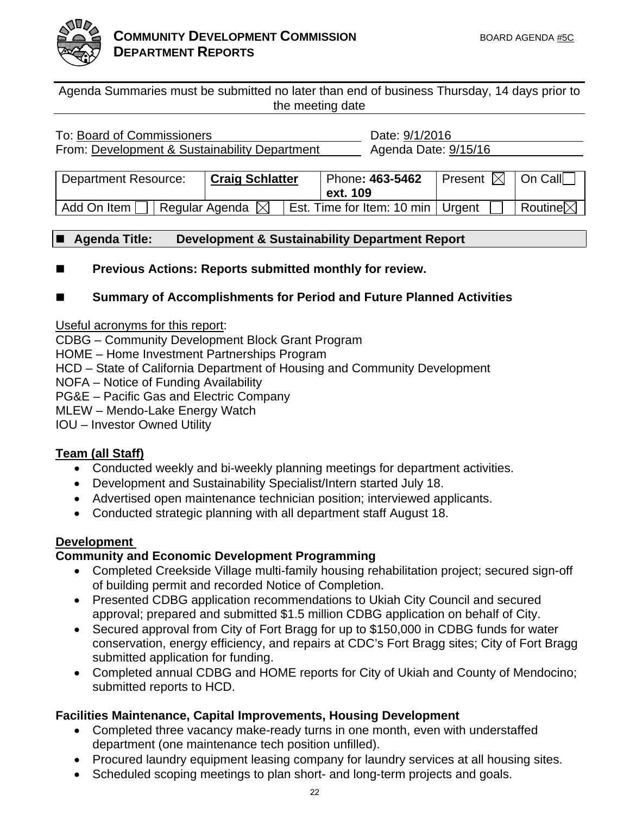

Agenda Summaries must be submitted no later than end of business Thursday, 14 days prior to the meeting date

| To: Board of Commissioners                    |                            | Date: 9/1/2016                      |                               |                     |
|-----------------------------------------------|----------------------------|-------------------------------------|-------------------------------|---------------------|
| From: Development & Sustainability Department |                            | Agenda Date: 9/15/16                |                               |                     |
|                                               |                            |                                     |                               |                     |
| <b>Department Resource:</b>                   | <b>Craig Schlatter</b>     | Phone: 463-5462                     | Present $\boxtimes$   On Call |                     |
|                                               |                            | ext. 109                            |                               |                     |
| Add On Item                                   | Regular Agenda $\boxtimes$ | Est. Time for Item: 10 min   Urgent |                               | Routine $\boxtimes$ |

### **Agenda Title: Development & Sustainability Department Report**

■ Previous Actions: Reports submitted monthly for review.

### **Summary of Accomplishments for Period and Future Planned Activities**

Useful acronyms for this report:

CDBG – Community Development Block Grant Program

HOME – Home Investment Partnerships Program

HCD – State of California Department of Housing and Community Development

NOFA – Notice of Funding Availability

PG&E – Pacific Gas and Electric Company

MLEW – Mendo-Lake Energy Watch

IOU – Investor Owned Utility

### **Team (all Staff)**

- Conducted weekly and bi-weekly planning meetings for department activities.
- Development and Sustainability Specialist/Intern started July 18.
- Advertised open maintenance technician position; interviewed applicants.
- Conducted strategic planning with all department staff August 18.

### **Development**

### **Community and Economic Development Programming**

- Completed Creekside Village multi-family housing rehabilitation project; secured sign-off of building permit and recorded Notice of Completion.
- Presented CDBG application recommendations to Ukiah City Council and secured approval; prepared and submitted \$1.5 million CDBG application on behalf of City.
- Secured approval from City of Fort Bragg for up to \$150,000 in CDBG funds for water conservation, energy efficiency, and repairs at CDC's Fort Bragg sites; City of Fort Bragg submitted application for funding.
- Completed annual CDBG and HOME reports for City of Ukiah and County of Mendocino; submitted reports to HCD.

### **Facilities Maintenance, Capital Improvements, Housing Development**

- Completed three vacancy make-ready turns in one month, even with understaffed department (one maintenance tech position unfilled).
- Procured laundry equipment leasing company for laundry services at all housing sites.
- Scheduled scoping meetings to plan short- and long-term projects and goals.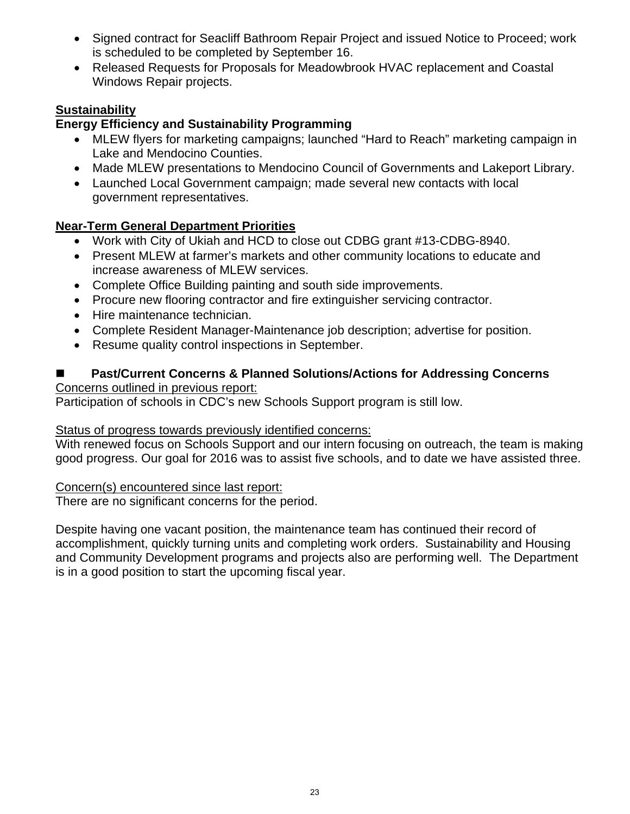- Signed contract for Seacliff Bathroom Repair Project and issued Notice to Proceed; work is scheduled to be completed by September 16.
- Released Requests for Proposals for Meadowbrook HVAC replacement and Coastal Windows Repair projects.

### **Sustainability**

### **Energy Efficiency and Sustainability Programming**

- MLEW flyers for marketing campaigns; launched "Hard to Reach" marketing campaign in Lake and Mendocino Counties.
- Made MLEW presentations to Mendocino Council of Governments and Lakeport Library.
- Launched Local Government campaign; made several new contacts with local government representatives.

### **Near-Term General Department Priorities**

- Work with City of Ukiah and HCD to close out CDBG grant #13-CDBG-8940.
- Present MLEW at farmer's markets and other community locations to educate and increase awareness of MLEW services.
- Complete Office Building painting and south side improvements.
- Procure new flooring contractor and fire extinguisher servicing contractor.
- Hire maintenance technician.
- Complete Resident Manager-Maintenance job description; advertise for position.
- Resume quality control inspections in September.

### **Past/Current Concerns & Planned Solutions/Actions for Addressing Concerns** Concerns outlined in previous report:

Participation of schools in CDC's new Schools Support program is still low.

### Status of progress towards previously identified concerns:

With renewed focus on Schools Support and our intern focusing on outreach, the team is making good progress. Our goal for 2016 was to assist five schools, and to date we have assisted three.

### Concern(s) encountered since last report:

There are no significant concerns for the period.

Despite having one vacant position, the maintenance team has continued their record of accomplishment, quickly turning units and completing work orders. Sustainability and Housing and Community Development programs and projects also are performing well. The Department is in a good position to start the upcoming fiscal year.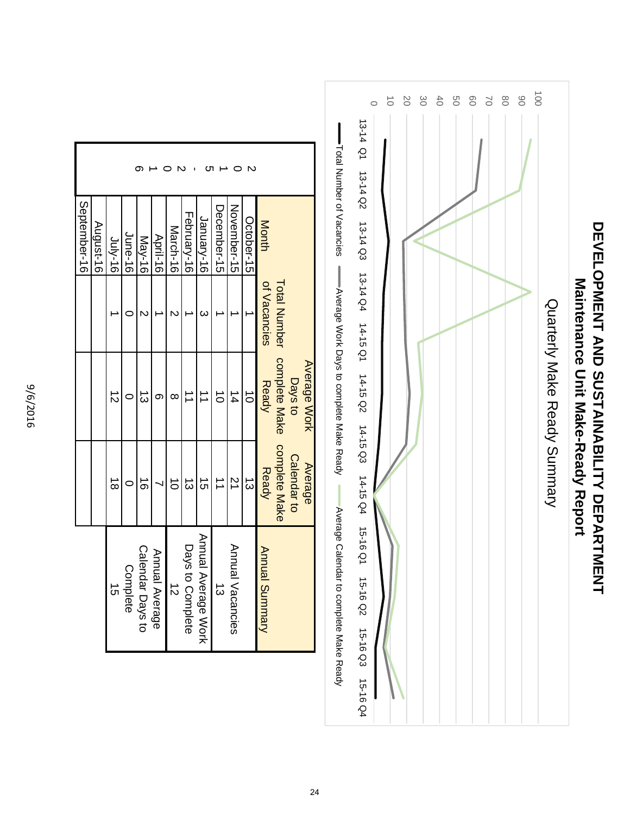

|                |                      |                     | September-16 |
|----------------|----------------------|---------------------|--------------|
|                |                      |                     | August-16    |
| $\vec{8}$      | $\vec{z}$            |                     | $Jn/s-16$    |
|                |                      |                     | June-16      |
| $\vec{0}$      | د<br>س               |                     | May-16       |
|                | ග                    |                     | April-16     |
| $\vec{0}$      | ∞                    |                     | March-16     |
| $\vec{\omega}$ |                      |                     | February-16  |
| $\vec{a}$      | $\overrightarrow{ }$ | $\omega$            | January-16   |
|                | $\vec{0}$            |                     | December-15  |
| $\overline{z}$ | $\frac{1}{4}$        |                     | November-15  |
| ದ              | $\vec{o}$            |                     | October-15   |
| <b>Ready</b>   | Ready                | of Vacancies        | Month        |
| complete Make  | complete Make        | <b>Total Number</b> |              |
| Calendar to    | Days to              |                     |              |
| <b>Average</b> | Average Work         |                     |              |

9/6/2016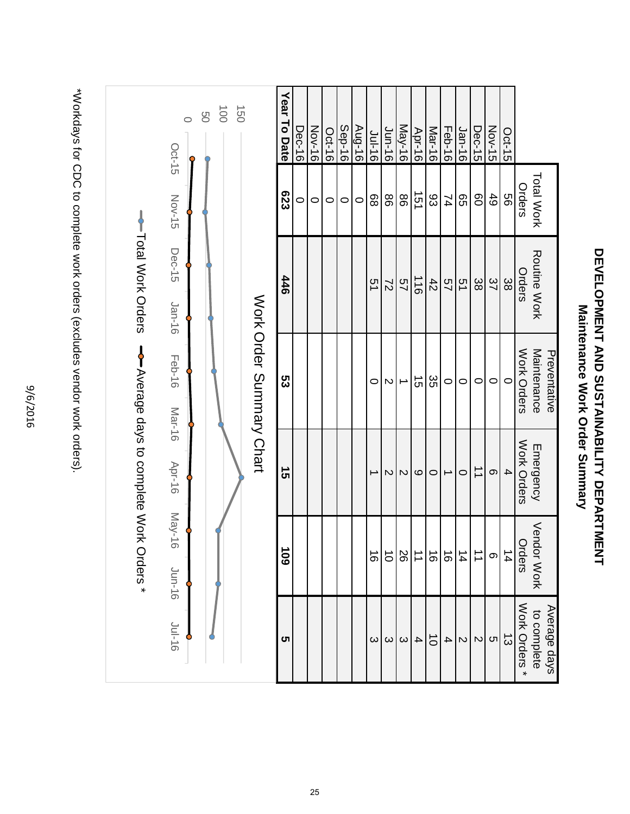9/6/2016



**DEVELOPMENT AND SUSTAINABILITY DEPARTMENT Maintenance Work Order Summary**

**DEVELOPMENT AND SUSTAINABILITY DEPARTMENT** 

Maintenance Work Order Summary

\*Workdays for CDC to complete work orders (excludes vendor work orders), \*Workdays for CDC to complete work orders (excludes vendor work orders).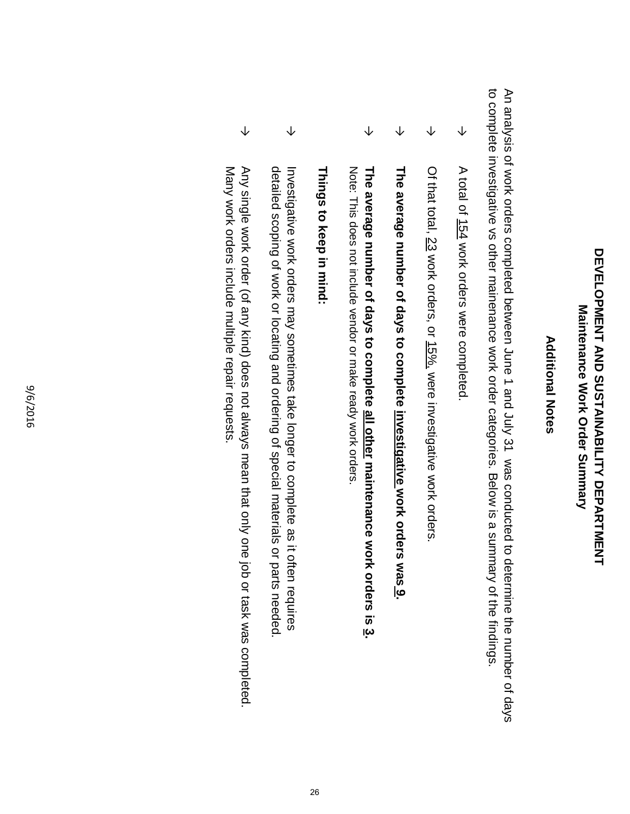## **DEVELOPMENT AND SUSTAING HEART DEVELOPMENT DEVELOPMENT AND SUSTAINABILITY DEPARTMENT** Maintenance Work Order Summary **Maintenance Work Order Summary**

### **Additional Notes Additional Notes**

to complete investigative vs other mainenance work order categories. Below is a summary of the findings An analysis of work orders completed between June 1 and July 31 was conducted to determine the number of days to complete investigative vs other mainenance work or An analysis of work orders completed between June 1 and July 31 was conducted to determine the number of days der categories. Below is a summary of the findings.

- → A total of 154 work orders were completed A total of 154 work orders were completed.
- → Of that total, 23 work orders, or 15%, were investigative work orders Of that total, 23 work orders, or 15%, were investigative work orders.
- → **The average number of days to complete investigative work orders was**The average number of days to complete <u>investigative w</u>ork orders was <u>9</u>
- → Note: This does not include vendor or make ready work orders. The average number of days to complete all other maintenance work orders is 3. Note: This does not include vendor or make ready work orders. **The average number of days to complete all other maintenance work orders is 3.**

### Things to keep in mind **Things to keep in mind:**

- → detailed scoping of work or locating and ordering of special materials or parts needed Investigative work orders may sometimes take longer to complete as it often requires detailed scoping of work or locating and ordering of special materials or parts needed. Investigative work orders may sometimes take longer to complete as it often requires
- → Many work orders include multiple repair requests Any single work order (of any kind) does not always mean that only one job or task was completed Many work orders include multiple repair requests. Any single work order (of any kind) does not always mean that only one job or task was completed.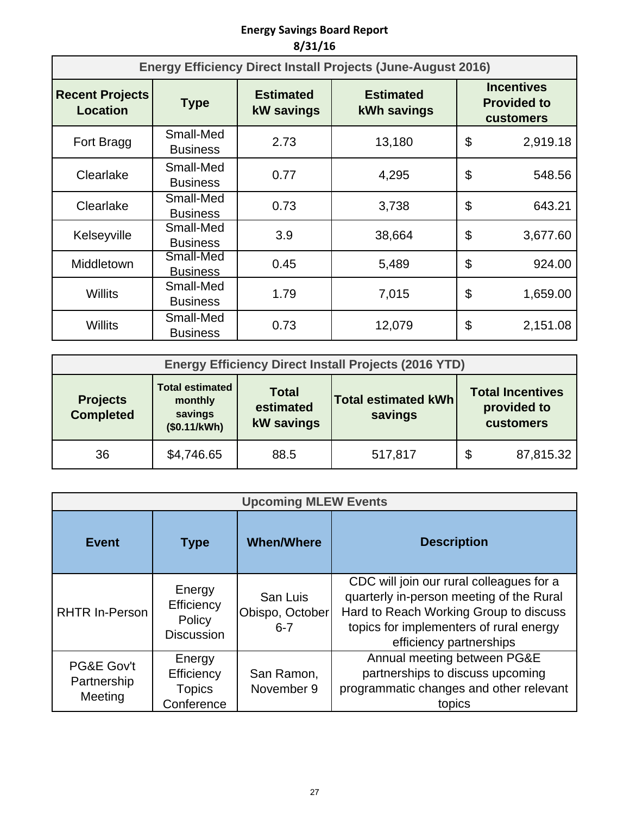### **Energy Savings Board Report 8/31/16**

|                                           |                              |                                       | <b>Energy Efficiency Direct Install Projects (June-August 2016)</b> |                                                             |
|-------------------------------------------|------------------------------|---------------------------------------|---------------------------------------------------------------------|-------------------------------------------------------------|
| <b>Recent Projects</b><br><b>Location</b> | <b>Type</b>                  | <b>Estimated</b><br><b>kW</b> savings | <b>Estimated</b><br>kWh savings                                     | <b>Incentives</b><br><b>Provided to</b><br><b>customers</b> |
| Fort Bragg                                | Small-Med<br><b>Business</b> | 2.73                                  | 13,180                                                              | \$<br>2,919.18                                              |
| Clearlake                                 | Small-Med<br><b>Business</b> | 0.77                                  | 4,295                                                               | \$<br>548.56                                                |
| Clearlake                                 | Small-Med<br><b>Business</b> | 0.73                                  | 3,738                                                               | \$<br>643.21                                                |
| Kelseyville                               | Small-Med<br><b>Business</b> | 3.9                                   | 38,664                                                              | \$<br>3,677.60                                              |
| Middletown                                | Small-Med<br><b>Business</b> | 0.45                                  | 5,489                                                               | \$<br>924.00                                                |
| Willits                                   | Small-Med<br><b>Business</b> | 1.79                                  | 7,015                                                               | \$<br>1,659.00                                              |
| Willits                                   | Small-Med<br><b>Business</b> | 0.73                                  | 12,079                                                              | \$<br>2,151.08                                              |

|                                     |                                                              |                                                | <b>Energy Efficiency Direct Install Projects (2016 YTD)</b> |   |                                                            |
|-------------------------------------|--------------------------------------------------------------|------------------------------------------------|-------------------------------------------------------------|---|------------------------------------------------------------|
| <b>Projects</b><br><b>Completed</b> | <b>Total estimated</b><br>monthly<br>savings<br>(\$0.11/kWh) | <b>Total</b><br>estimated<br><b>kW</b> savings | <b>Total estimated kWh</b><br>savings                       |   | <b>Total Incentives</b><br>provided to<br><b>customers</b> |
| 36                                  | \$4,746.65                                                   | 88.5                                           | 517,817                                                     | S | 87,815.32                                                  |

|                                      |                                                     | <b>Upcoming MLEW Events</b>            |                                                                                                                                                                                                      |
|--------------------------------------|-----------------------------------------------------|----------------------------------------|------------------------------------------------------------------------------------------------------------------------------------------------------------------------------------------------------|
| <b>Event</b>                         | <b>Type</b>                                         | <b>When/Where</b>                      | <b>Description</b>                                                                                                                                                                                   |
| <b>RHTR In-Person</b>                | Energy<br>Efficiency<br>Policy<br><b>Discussion</b> | San Luis<br>Obispo, October<br>$6 - 7$ | CDC will join our rural colleagues for a<br>quarterly in-person meeting of the Rural<br>Hard to Reach Working Group to discuss<br>topics for implementers of rural energy<br>efficiency partnerships |
| PG&E Gov't<br>Partnership<br>Meeting | Energy<br>Efficiency<br><b>Topics</b><br>Conference | San Ramon,<br>November 9               | Annual meeting between PG&E<br>partnerships to discuss upcoming<br>programmatic changes and other relevant<br>topics                                                                                 |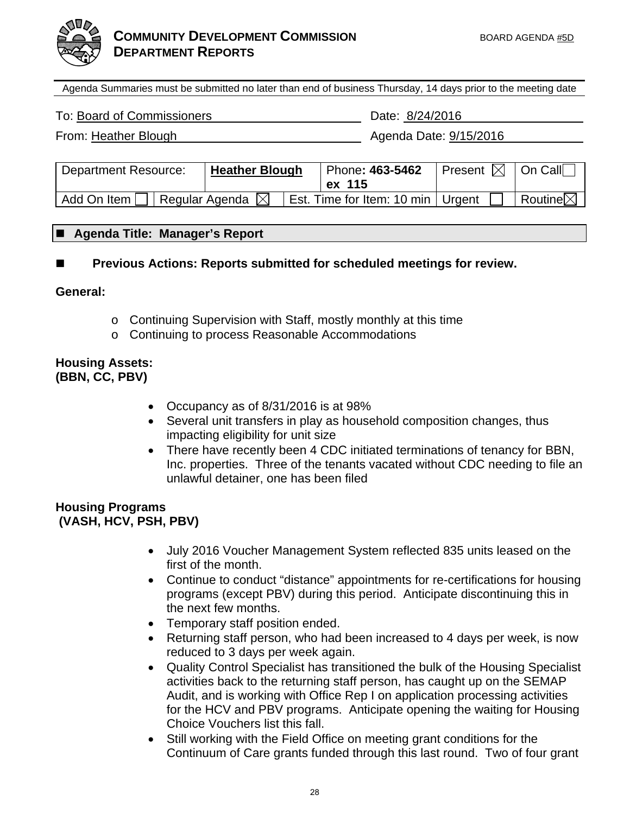

Agenda Summaries must be submitted no later than end of business Thursday, 14 days prior to the meeting date

To: Board of Commissioners Date: 8/24/2016

From: Heather Blough Agenda Date: 9/15/2016

| <b>Department Resource:</b> | <b>Heather Blough</b>      | Phone: 463-5462                     | Present $\boxtimes$   On Call |                                  |
|-----------------------------|----------------------------|-------------------------------------|-------------------------------|----------------------------------|
|                             |                            | ex 115                              |                               |                                  |
| $'$ Add On Item $\Box$      | Regular Agenda $\boxtimes$ | Est. Time for Item: 10 min   Urgent |                               | $\mathsf{I}$ Routine $\boxtimes$ |

### **Agenda Title: Manager's Report**

 **Previous Actions: Reports submitted for scheduled meetings for review.** 

**General:** 

- o Continuing Supervision with Staff, mostly monthly at this time
- o Continuing to process Reasonable Accommodations

### **Housing Assets: (BBN, CC, PBV)**

- Occupancy as of 8/31/2016 is at 98%
- Several unit transfers in play as household composition changes, thus impacting eligibility for unit size
- There have recently been 4 CDC initiated terminations of tenancy for BBN, Inc. properties. Three of the tenants vacated without CDC needing to file an unlawful detainer, one has been filed

### **Housing Programs (VASH, HCV, PSH, PBV)**

- July 2016 Voucher Management System reflected 835 units leased on the first of the month.
- Continue to conduct "distance" appointments for re-certifications for housing programs (except PBV) during this period. Anticipate discontinuing this in the next few months.
- Temporary staff position ended.
- Returning staff person, who had been increased to 4 days per week, is now reduced to 3 days per week again.
- Quality Control Specialist has transitioned the bulk of the Housing Specialist activities back to the returning staff person, has caught up on the SEMAP Audit, and is working with Office Rep I on application processing activities for the HCV and PBV programs. Anticipate opening the waiting for Housing Choice Vouchers list this fall.
- Still working with the Field Office on meeting grant conditions for the Continuum of Care grants funded through this last round. Two of four grant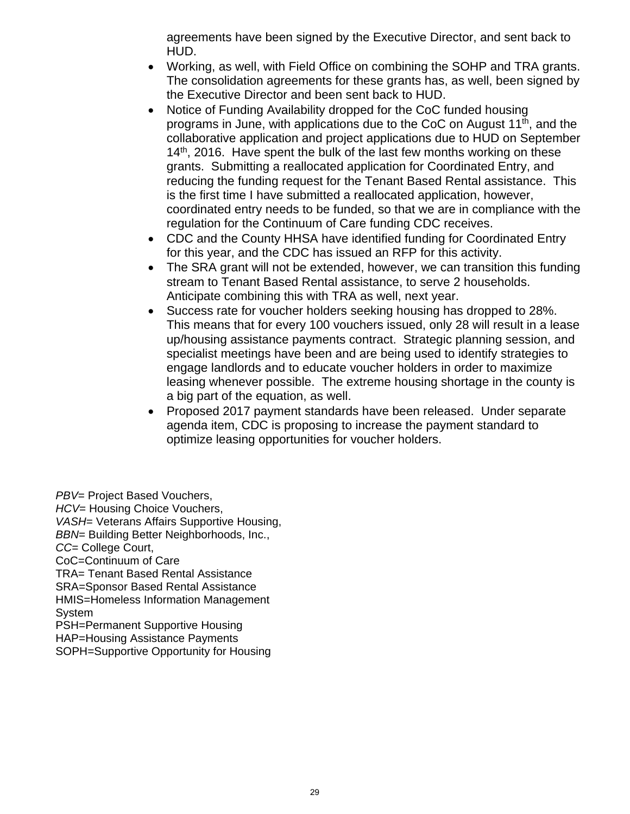agreements have been signed by the Executive Director, and sent back to HUD.

- Working, as well, with Field Office on combining the SOHP and TRA grants. The consolidation agreements for these grants has, as well, been signed by the Executive Director and been sent back to HUD.
- Notice of Funding Availability dropped for the CoC funded housing programs in June, with applications due to the CoC on August  $11<sup>th</sup>$ , and the collaborative application and project applications due to HUD on September  $14<sup>th</sup>$ , 2016. Have spent the bulk of the last few months working on these grants. Submitting a reallocated application for Coordinated Entry, and reducing the funding request for the Tenant Based Rental assistance. This is the first time I have submitted a reallocated application, however, coordinated entry needs to be funded, so that we are in compliance with the regulation for the Continuum of Care funding CDC receives.
- CDC and the County HHSA have identified funding for Coordinated Entry for this year, and the CDC has issued an RFP for this activity.
- The SRA grant will not be extended, however, we can transition this funding stream to Tenant Based Rental assistance, to serve 2 households. Anticipate combining this with TRA as well, next year.
- Success rate for voucher holders seeking housing has dropped to 28%. This means that for every 100 vouchers issued, only 28 will result in a lease up/housing assistance payments contract. Strategic planning session, and specialist meetings have been and are being used to identify strategies to engage landlords and to educate voucher holders in order to maximize leasing whenever possible. The extreme housing shortage in the county is a big part of the equation, as well.
- Proposed 2017 payment standards have been released. Under separate agenda item, CDC is proposing to increase the payment standard to optimize leasing opportunities for voucher holders.

*PBV*= Project Based Vouchers, *HCV*= Housing Choice Vouchers, *VASH*= Veterans Affairs Supportive Housing, *BBN*= Building Better Neighborhoods, Inc., *CC*= College Court, CoC=Continuum of Care TRA= Tenant Based Rental Assistance SRA=Sponsor Based Rental Assistance HMIS=Homeless Information Management System PSH=Permanent Supportive Housing HAP=Housing Assistance Payments

SOPH=Supportive Opportunity for Housing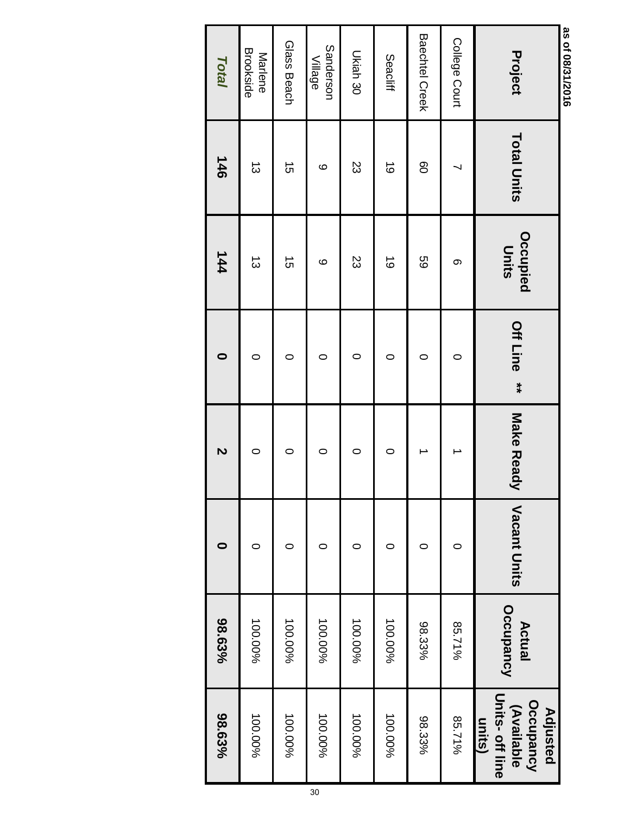| as of 08/31/2016<br>Project | <b>Total Units</b> | Occupied<br><b>Units</b> | <b>Off Line</b><br>$**$ | Make Ready | Vacant Units | Actual    | Occupancy<br>(Available<br><b>Adjusted</b> |
|-----------------------------|--------------------|--------------------------|-------------------------|------------|--------------|-----------|--------------------------------------------|
|                             |                    |                          |                         |            |              | Occupancy | Units-off line<br>units)                   |
| College Court               |                    | တ                        | 0                       |            | ○            | 85.71%    | 85.71%                                     |
| Baechtel Creek              | 80                 | 69                       | 0                       |            | 0            | 98.33%    | 98.33%                                     |
| Seacliff                    | $\vec{0}$          | $\vec{0}$                | 0                       | $\circ$    | 0            | 100.00%   | 100.00%                                    |
| Ukiah 30                    | ΣS                 | 23                       | 0                       | $\circ$    | ○            | 100.00%   | 100.00%                                    |
| Sanderson<br>Village        | ဖ                  | ဖ                        | 0                       | 0          | 0            | 100.00%   | 100.00%                                    |
| Glass Beach                 | $\vec{5}$          | $\vec{5}$                | 0                       | $\circ$    | 0            | 100.00%   | 100.00%                                    |
| Brookside<br>Marlene        | $\vec{\omega}$     | $\vec{\omega}$           | $\circ$                 | $\circ$    | 0            | 100.00%   | 100.00%                                    |
| <b>Total</b>                | 146                | 144                      | 0                       | N          |              | 98.63%    | 98.63%                                     |
|                             |                    |                          |                         |            |              |           |                                            |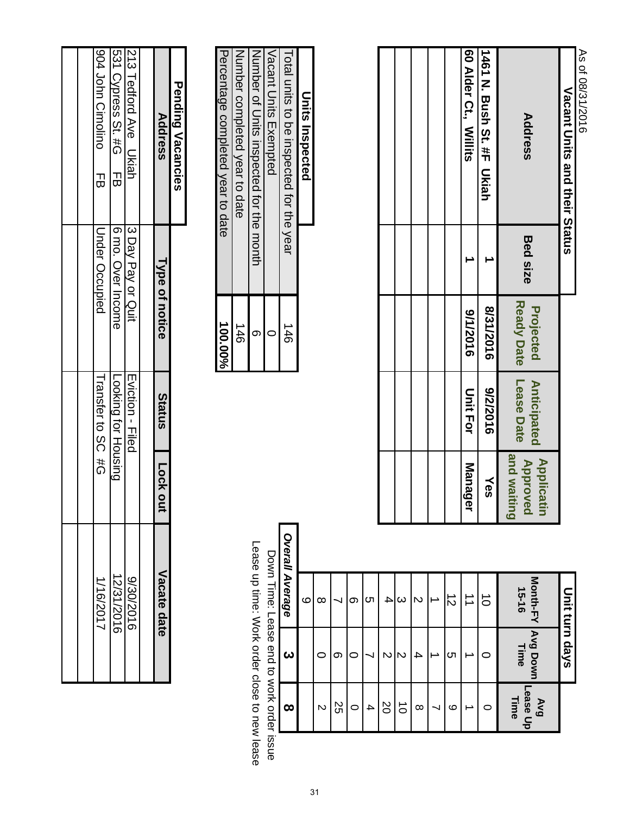| As of 08/31/2016<br>Vacant Units and their Status |                 |                                       |                                     |                                               | Unit turn days               |                  |                         |
|---------------------------------------------------|-----------------|---------------------------------------|-------------------------------------|-----------------------------------------------|------------------------------|------------------|-------------------------|
| Address                                           | <b>Bed size</b> | <b>Ready Date</b><br><b>Projected</b> | Lease<br>Date<br><b>Anticipated</b> | and waiting<br><b>Applicatin<br/>Approved</b> | <b>Month-FY</b><br>$15 - 16$ | Avg Down<br>Time | Lease Up<br>Time<br>BAV |
| 1461 N. Bush St. #F Ukiah                         |                 | 8/31/2016                             | 9102/2016                           | Yes                                           | $\vec{0}$                    | C                | 0                       |
| 60 Alder Ct., Willits                             |                 | 911/2016                              | <b>Unit For</b>                     | <b>Manager</b>                                | $\overrightarrow{=}$         |                  |                         |
|                                                   |                 |                                       |                                     |                                               | $\vec{z}$                    | cл               | ဖ                       |
|                                                   |                 |                                       |                                     |                                               |                              |                  |                         |
|                                                   |                 |                                       |                                     |                                               | Z                            | 4                | $\infty$                |
|                                                   |                 |                                       |                                     |                                               | $\omega$                     | N                | $\vec{o}$               |
|                                                   |                 |                                       |                                     |                                               | 4                            | N                | 20                      |
|                                                   |                 |                                       |                                     |                                               | c                            |                  | 4                       |
|                                                   |                 |                                       |                                     |                                               | ග                            | 0                | 0                       |
|                                                   |                 |                                       |                                     |                                               |                              | တ                | 25                      |
|                                                   |                 |                                       |                                     |                                               |                              |                  | Ć                       |

| 100.00% | Percentage completed year to date        |
|---------|------------------------------------------|
| 146     | Number completed year to date            |
|         | Number of Chits inspected for the month  |
|         | Vacant Units Exempted                    |
| 146     | Total units to be inspected for the year |
|         | Units<br>Inns<br>Inspected               |

|                                              |                                          | Overall Average | α |  |
|----------------------------------------------|------------------------------------------|-----------------|---|--|
| Lease up time: Vork order close to new lease | Down Hime: Lease end to work order issue |                 |   |  |
|                                              |                                          |                 |   |  |
|                                              |                                          |                 |   |  |

| <b>Pending Vacancies</b>       |                     |                            |         |                                               |
|--------------------------------|---------------------|----------------------------|---------|-----------------------------------------------|
| <b>Address</b>                 | Type of notice      | Status                     | Lock ou | Vacate date                                   |
|                                |                     |                            |         |                                               |
| 213 Tedford Ave Ukiah          | 13 Day Pay or Quit  | Eviction - Filed           |         |                                               |
| ISS Chess St. #G FB            | <b>Solut Income</b> | <b>Looking for Housing</b> |         | 9/30/2016<br>1 <u>2/31/2016</u><br>12/31/2017 |
| <b>SOL LOPP Crimalino</b><br>긊 | Under Occupied      | Transfer to SC #G          |         |                                               |
|                                |                     |                            |         |                                               |
|                                |                     |                            |         |                                               |
|                                |                     |                            |         |                                               |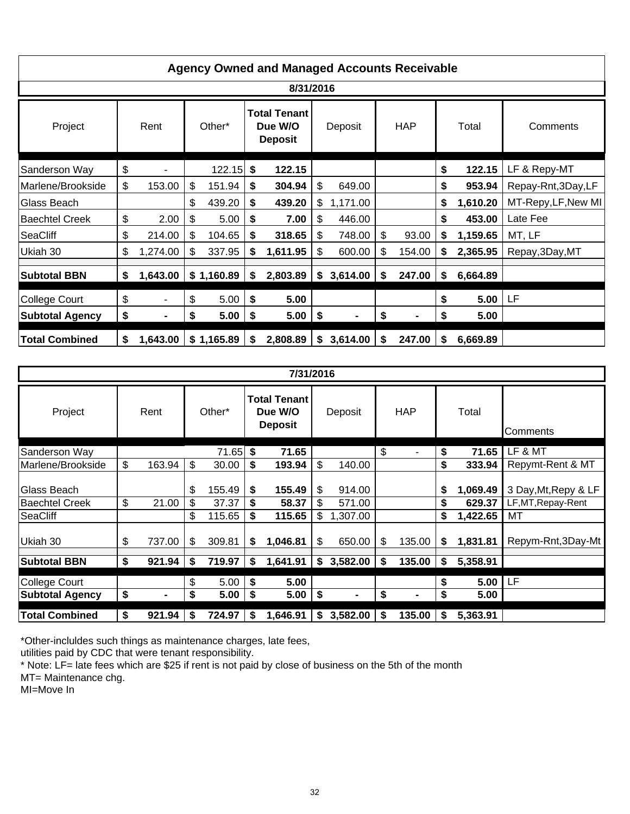|                        |                      |              |    | <b>Agency Owned and Managed Accounts Receivable</b> |                |     |                |    |          |                     |
|------------------------|----------------------|--------------|----|-----------------------------------------------------|----------------|-----|----------------|----|----------|---------------------|
|                        |                      |              |    | 8/31/2016                                           |                |     |                |    |          |                     |
| Project                | Rent                 | Other*       |    | <b>Total Tenant</b><br>Due W/O<br><b>Deposit</b>    | Deposit        |     | <b>HAP</b>     |    | Total    | Comments            |
| Sanderson Way          | \$                   | $122.15$ \$  |    | 122.15                                              |                |     |                | \$ | 122.15   | LF & Repy-MT        |
| Marlene/Brookside      | \$<br>153.00         | \$<br>151.94 | S. | 304.94                                              | \$<br>649.00   |     |                | \$ | 953.94   | Repay-Rnt, 3Day, LF |
| Glass Beach            |                      | \$<br>439.20 | \$ | 439.20                                              | \$<br>1,171.00 |     |                | \$ | 1,610.20 | MT-Repy, LF, New MI |
| <b>Baechtel Creek</b>  | \$<br>2.00           | \$<br>5.00   | \$ | 7.00                                                | \$<br>446.00   |     |                | \$ | 453.00   | Late Fee            |
| SeaCliff               | \$<br>214.00         | \$<br>104.65 | \$ | 318.65                                              | \$<br>748.00   | \$  | 93.00          | \$ | 1,159.65 | MT, LF              |
| Ukiah 30               | \$<br>1,274.00       | \$<br>337.95 | \$ | 1,611.95                                            | \$<br>600.00   | \$  | 154.00         | \$ | 2,365.95 | Repay, 3Day, MT     |
| <b>Subtotal BBN</b>    | \$<br>1,643.00       | \$1,160.89   | \$ | 2,803.89                                            | \$<br>3,614.00 | -\$ | 247.00         | \$ | 6,664.89 |                     |
| <b>College Court</b>   | \$                   | \$<br>5.00   | \$ | 5.00                                                |                |     |                | \$ | 5.00     | LF                  |
| <b>Subtotal Agency</b> | \$<br>$\blacksquare$ | \$<br>5.00   | \$ | 5.00                                                | \$             | \$  | $\blacksquare$ | \$ | 5.00     |                     |
| <b>Total Combined</b>  | \$<br>1,643.00       | \$1,165.89   | S. | 2,808.89                                            | \$3,614.00     | \$  | 247.00         | S  | 6,669.89 |                     |

|                        |                      |              |    | 7/31/2016                                        |                |                      |    |          |                      |
|------------------------|----------------------|--------------|----|--------------------------------------------------|----------------|----------------------|----|----------|----------------------|
| Project                | Rent                 | Other*       |    | <b>Total Tenant</b><br>Due W/O<br><b>Deposit</b> | Deposit        | <b>HAP</b>           |    | Total    | Comments             |
| Sanderson Way          |                      | 71.65        | \$ | 71.65                                            |                | \$                   | \$ | 71.65    | LF & MT              |
| Marlene/Brookside      | \$<br>163.94         | \$<br>30.00  | \$ | 193.94                                           | \$<br>140.00   |                      | \$ | 333.94   | Repymt-Rent & MT     |
| Glass Beach            |                      | \$<br>155.49 | \$ | 155.49                                           | \$<br>914.00   |                      | \$ | 1,069.49 | 3 Day, Mt, Repy & LF |
| <b>Baechtel Creek</b>  | \$<br>21.00          | \$<br>37.37  | \$ | 58.37                                            | \$<br>571.00   |                      | \$ | 629.37   | LF, MT, Repay-Rent   |
| <b>SeaCliff</b>        |                      | \$<br>115.65 | \$ | 115.65                                           | \$<br>1,307.00 |                      | \$ | 1,422.65 | МT                   |
| Ukiah 30               | \$<br>737.00         | \$<br>309.81 | S  | 1,046.81                                         | \$<br>650.00   | \$<br>135.00         | S  | 1,831.81 | Repym-Rnt, 3Day-Mt   |
| <b>Subtotal BBN</b>    | \$<br>921.94         | \$<br>719.97 | \$ | 1,641.91                                         | \$<br>3,582.00 | \$<br>135.00         | \$ | 5,358.91 |                      |
| <b>College Court</b>   |                      | \$<br>5.00   | \$ | 5.00                                             |                |                      | \$ | 5.00     | LF                   |
| <b>Subtotal Agency</b> | \$<br>$\blacksquare$ | \$<br>5.00   | \$ | 5.00                                             | \$<br>-        | \$<br>$\blacksquare$ | \$ | 5.00     |                      |
| <b>Total Combined</b>  | \$<br>921.94         | \$<br>724.97 | \$ | 1,646.91                                         | \$<br>3,582.00 | \$<br>135.00         | S  | 5,363.91 |                      |

\*Other-incluldes such things as maintenance charges, late fees,

utilities paid by CDC that were tenant responsibility.

\* Note: LF= late fees which are \$25 if rent is not paid by close of business on the 5th of the month

MT= Maintenance chg.

MI=Move In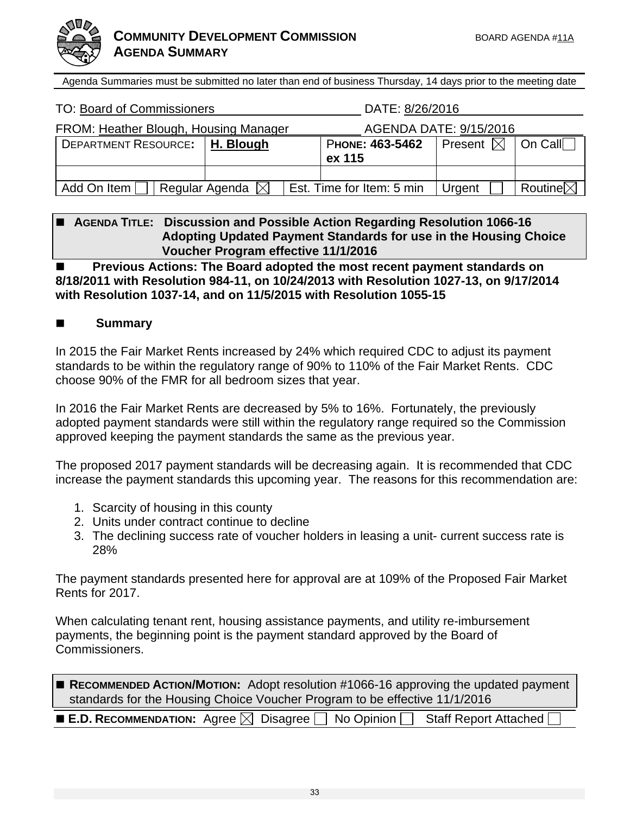

Agenda Summaries must be submitted no later than end of business Thursday, 14 days prior to the meeting date

| TO: Board of Commissioners            |                            | DATE: 8/26/2016           |                               |                     |
|---------------------------------------|----------------------------|---------------------------|-------------------------------|---------------------|
| FROM: Heather Blough, Housing Manager |                            |                           | AGENDA DATE: 9/15/2016        |                     |
| <b>DEPARTMENT RESOURCE:</b>           | $\vert$ H. Blough          | PHONE: 463-5462<br>ex 115 | Present $\boxtimes$   On Call |                     |
|                                       |                            |                           |                               |                     |
| Add On Item [                         | Regular Agenda $\boxtimes$ | Est. Time for Item: 5 min | Urgent                        | Routine $\boxtimes$ |

### **AGENDA TITLE: Discussion and Possible Action Regarding Resolution 1066-16 Adopting Updated Payment Standards for use in the Housing Choice Voucher Program effective 11/1/2016**

**EXECTE: Previous Actions: The Board adopted the most recent payment standards on 8/18/2011 with Resolution 984-11, on 10/24/2013 with Resolution 1027-13, on 9/17/2014 with Resolution 1037-14, and on 11/5/2015 with Resolution 1055-15** 

### **Summary**

In 2015 the Fair Market Rents increased by 24% which required CDC to adjust its payment standards to be within the regulatory range of 90% to 110% of the Fair Market Rents. CDC choose 90% of the FMR for all bedroom sizes that year.

In 2016 the Fair Market Rents are decreased by 5% to 16%. Fortunately, the previously adopted payment standards were still within the regulatory range required so the Commission approved keeping the payment standards the same as the previous year.

The proposed 2017 payment standards will be decreasing again. It is recommended that CDC increase the payment standards this upcoming year. The reasons for this recommendation are:

- 1. Scarcity of housing in this county
- 2. Units under contract continue to decline
- 3. The declining success rate of voucher holders in leasing a unit- current success rate is 28%

The payment standards presented here for approval are at 109% of the Proposed Fair Market Rents for 2017.

When calculating tenant rent, housing assistance payments, and utility re-imbursement payments, the beginning point is the payment standard approved by the Board of Commissioners.

| ■ RECOMMENDED ACTION/MOTION: Adopt resolution #1066-16 approving the updated payment                            |
|-----------------------------------------------------------------------------------------------------------------|
| standards for the Housing Choice Voucher Program to be effective 11/1/2016                                      |
| the contract of the contract of the contract of the contract of the contract of the contract of the contract of |

| <b>E.D. RECOMMENDATION:</b> Agree $\boxtimes$ Disagree $\Box$ No Opinion $\Box$ Staff Report Attached |
|-------------------------------------------------------------------------------------------------------|
|-------------------------------------------------------------------------------------------------------|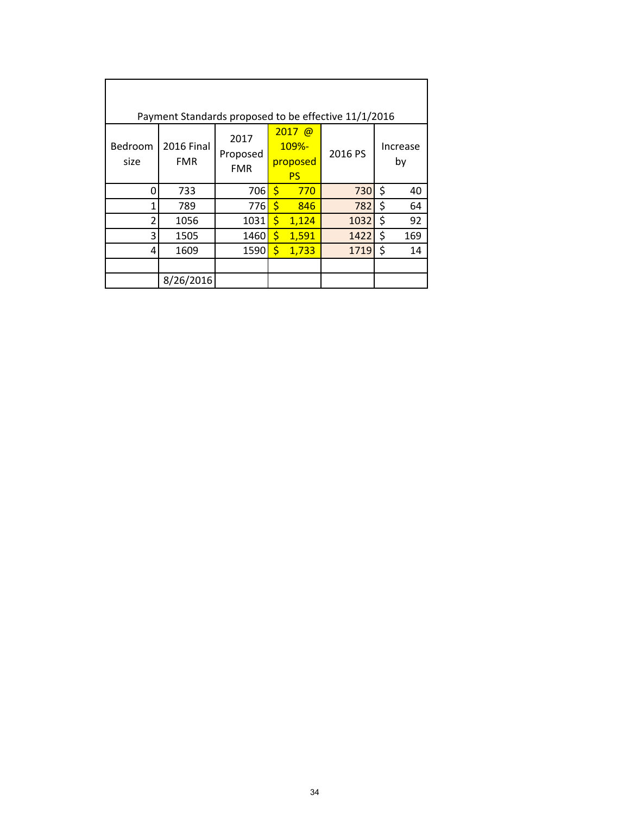|                 | Payment Standards proposed to be effective 11/1/2016 |                                |                    |                                            |         |                |                |
|-----------------|------------------------------------------------------|--------------------------------|--------------------|--------------------------------------------|---------|----------------|----------------|
| Bedroom<br>size | <b>2016 Final</b><br><b>FMR</b>                      | 2017<br>Proposed<br><b>FMR</b> |                    | $2017$ @<br>109%-<br>proposed<br><b>PS</b> | 2016 PS |                | Increase<br>by |
| Ω               | 733                                                  | 706                            | $\mathsf{\dot{S}}$ | 770                                        | 730     | $\ddot{\zeta}$ | 40             |
| 1               | 789                                                  | 776                            | Ś                  | 846                                        | 782     | \$             | 64             |
| 2               | 1056                                                 | 1031                           | \$                 | 1,124                                      | 1032    | \$             | 92             |
| 3               | 1505                                                 | 1460                           | $\zeta$            | 1,591                                      | 1422    | \$             | 169            |
| 4               | 1609                                                 | 1590                           | \$                 | 1,733                                      | 1719    | \$             | 14             |
|                 |                                                      |                                |                    |                                            |         |                |                |
|                 | 8/26/2016                                            |                                |                    |                                            |         |                |                |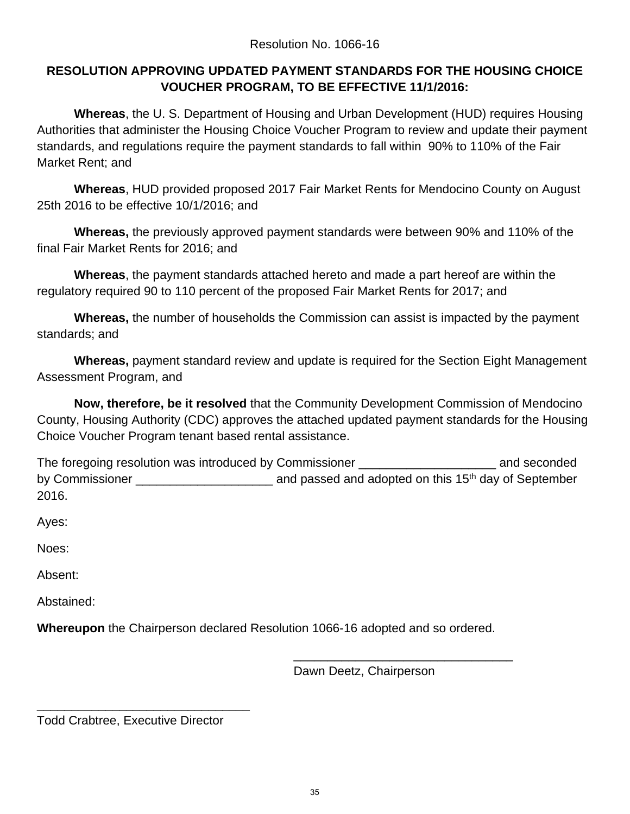### **RESOLUTION APPROVING UPDATED PAYMENT STANDARDS FOR THE HOUSING CHOICE VOUCHER PROGRAM, TO BE EFFECTIVE 11/1/2016:**

**Whereas**, the U. S. Department of Housing and Urban Development (HUD) requires Housing Authorities that administer the Housing Choice Voucher Program to review and update their payment standards, and regulations require the payment standards to fall within 90% to 110% of the Fair Market Rent; and

**Whereas**, HUD provided proposed 2017 Fair Market Rents for Mendocino County on August 25th 2016 to be effective 10/1/2016; and

**Whereas,** the previously approved payment standards were between 90% and 110% of the final Fair Market Rents for 2016; and

**Whereas**, the payment standards attached hereto and made a part hereof are within the regulatory required 90 to 110 percent of the proposed Fair Market Rents for 2017; and

**Whereas,** the number of households the Commission can assist is impacted by the payment standards; and

**Whereas,** payment standard review and update is required for the Section Eight Management Assessment Program, and

**Now, therefore, be it resolved** that the Community Development Commission of Mendocino County, Housing Authority (CDC) approves the attached updated payment standards for the Housing Choice Voucher Program tenant based rental assistance.

The foregoing resolution was introduced by Commissioner \_\_\_\_\_\_\_\_\_\_\_\_\_\_\_\_\_\_\_\_\_\_\_\_\_ and seconded by Commissioner The Commissioner and passed and adopted on this 15<sup>th</sup> day of September 2016.

Ayes:

Noes:

Absent:

Abstained:

**Whereupon** the Chairperson declared Resolution 1066-16 adopted and so ordered.

 $\overline{\phantom{a}}$  , and the contract of the contract of the contract of the contract of the contract of the contract of the contract of the contract of the contract of the contract of the contract of the contract of the contrac

Dawn Deetz, Chairperson

Todd Crabtree, Executive Director

\_\_\_\_\_\_\_\_\_\_\_\_\_\_\_\_\_\_\_\_\_\_\_\_\_\_\_\_\_\_\_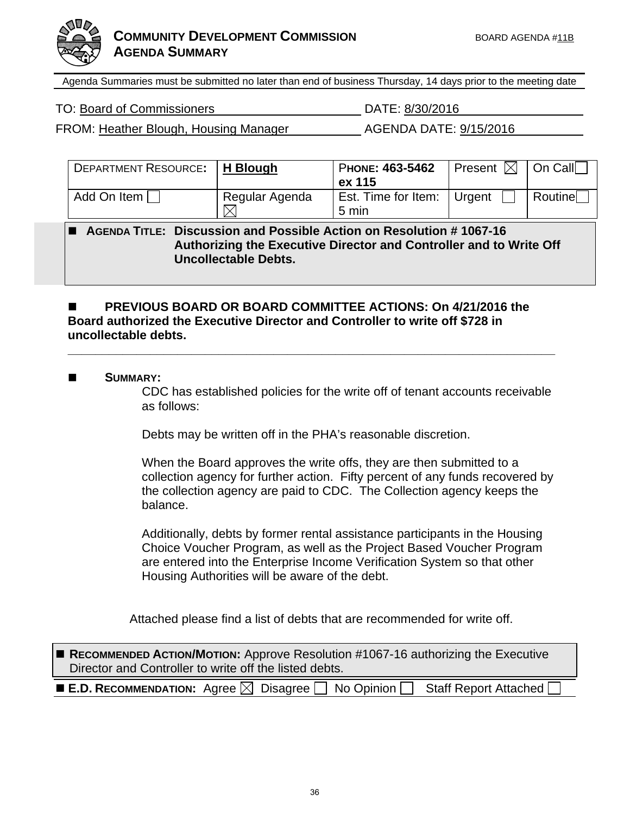



Agenda Summaries must be submitted no later than end of business Thursday, 14 days prior to the meeting date

FROM: Heather Blough, Housing Manager AGENDA DATE: 9/15/2016

| <b>DEPARTMENT RESOURCE:</b> | H Blough       | PHONE: 463-5462     | Present $\boxtimes$ | │ On Call |
|-----------------------------|----------------|---------------------|---------------------|-----------|
|                             |                | ex 115              |                     |           |
| Add On Item                 | Regular Agenda | Est. Time for Item: | Urgent              | Routine   |
|                             |                | 5 min               |                     |           |

 **AGENDA TITLE: Discussion and Possible Action on Resolution # 1067-16 Authorizing the Executive Director and Controller and to Write Off Uncollectable Debts.** 

### **PREVIOUS BOARD OR BOARD COMMITTEE ACTIONS: On 4/21/2016 the Board authorized the Executive Director and Controller to write off \$728 in uncollectable debts.**

**\_\_\_\_\_\_\_\_\_\_\_\_\_\_\_\_\_\_\_\_\_\_\_\_\_\_\_\_\_\_\_\_\_\_\_\_\_\_\_\_\_\_\_\_\_\_\_\_\_\_\_\_\_\_\_\_\_\_\_\_\_\_\_\_\_\_\_\_\_\_\_** 

### **SUMMARY:**

CDC has established policies for the write off of tenant accounts receivable as follows:

Debts may be written off in the PHA's reasonable discretion.

When the Board approves the write offs, they are then submitted to a collection agency for further action. Fifty percent of any funds recovered by the collection agency are paid to CDC. The Collection agency keeps the balance.

Additionally, debts by former rental assistance participants in the Housing Choice Voucher Program, as well as the Project Based Voucher Program are entered into the Enterprise Income Verification System so that other Housing Authorities will be aware of the debt.

Attached please find a list of debts that are recommended for write off.

| RECOMMENDED ACTION/MOTION: Approve Resolution #1067-16 authorizing the Executive<br>Director and Controller to write off the listed debts. |  |  |  |  |
|--------------------------------------------------------------------------------------------------------------------------------------------|--|--|--|--|
| <b>E.D. RECOMMENDATION:</b> Agree $\boxtimes$ Disagree $\Box$ No Opinion $\Box$<br>Staff Report Attached [                                 |  |  |  |  |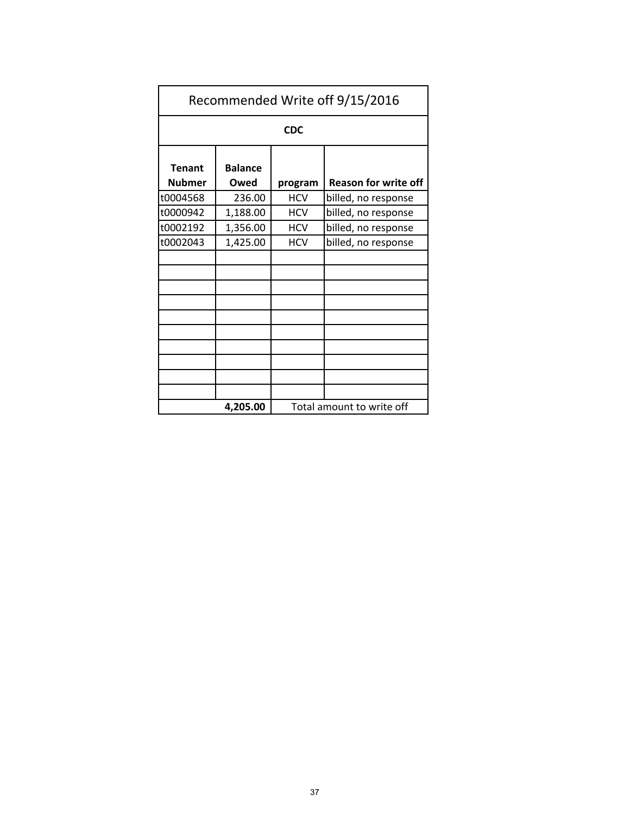| Recommended Write off 9/15/2016 |                        |                           |                             |  |
|---------------------------------|------------------------|---------------------------|-----------------------------|--|
| <b>CDC</b>                      |                        |                           |                             |  |
| <b>Tenant</b><br><b>Nubmer</b>  | <b>Balance</b><br>Owed | program                   | <b>Reason for write off</b> |  |
| t0004568                        | 236.00                 | <b>HCV</b>                | billed, no response         |  |
| t0000942                        | 1,188.00               | <b>HCV</b>                | billed, no response         |  |
| t0002192                        | 1,356.00               | <b>HCV</b>                | billed, no response         |  |
| t0002043                        | 1,425.00               | <b>HCV</b>                | billed, no response         |  |
|                                 |                        |                           |                             |  |
|                                 |                        |                           |                             |  |
|                                 |                        |                           |                             |  |
| 4,205.00                        |                        | Total amount to write off |                             |  |